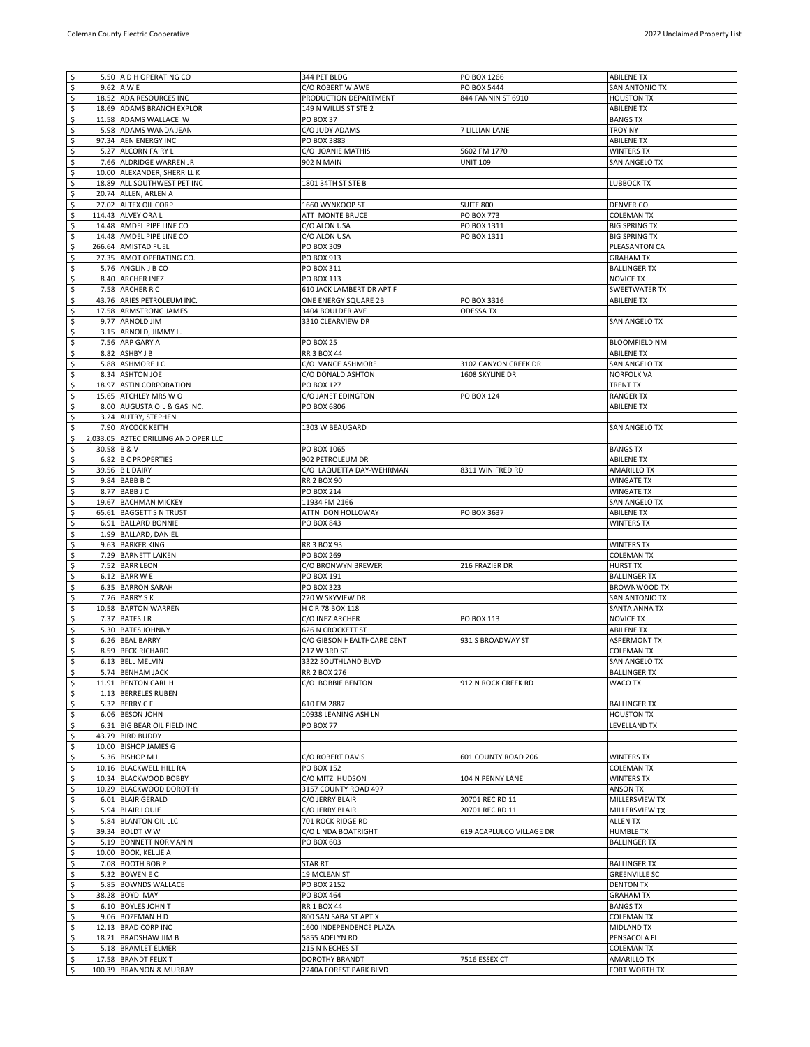| $\sqrt{2}$                |             | 5.50 A D H OPERATING CO                         | 344 PET BLDG                             | PO BOX 1266              | <b>ABILENE TX</b>                   |
|---------------------------|-------------|-------------------------------------------------|------------------------------------------|--------------------------|-------------------------------------|
| $\sqrt{2}$                |             | 9.62 A W E                                      | C/O ROBERT W AWE                         | PO BOX 5444              | SAN ANTONIO TX                      |
| $\zeta$                   |             | 18.52 ADA RESOURCES INC                         | PRODUCTION DEPARTMENT                    | 844 FANNIN ST 6910       | <b>HOUSTON TX</b>                   |
|                           |             | 18.69 ADAMS BRANCH EXPLOR                       | 149 N WILLIS ST STE 2                    |                          | <b>ABILENE TX</b>                   |
| १९१                       |             | 11.58 ADAMS WALLACE W                           | PO BOX 37                                |                          | <b>BANGS TX</b>                     |
|                           |             |                                                 |                                          |                          |                                     |
|                           |             | 5.98 ADAMS WANDA JEAN                           | C/O JUDY ADAMS                           | 7 LILLIAN LANE           | TROY NY                             |
| $\boldsymbol{\zeta}$      |             | 97.34 AEN ENERGY INC                            | PO BOX 3883                              |                          | <b>ABILENE TX</b>                   |
|                           |             | 5.27 ALCORN FAIRY L                             | C/O JOANIE MATHIS                        | 5602 FM 1770             | <b>WINTERS TX</b>                   |
| .<br>نه به                |             | 7.66 ALDRIDGE WARREN JR                         | 902 N MAIN                               | <b>UNIT 109</b>          | SAN ANGELO TX                       |
| \$                        |             | 10.00 ALEXANDER, SHERRILL K                     |                                          |                          |                                     |
| $\boldsymbol{\mathsf{S}}$ |             | 18.89 ALL SOUTHWEST PET INC                     | 1801 34TH ST STE B                       |                          | LUBBOCK TX                          |
|                           |             |                                                 |                                          |                          |                                     |
| $\varsigma$               |             | 20.74 ALLEN, ARLEN A                            |                                          |                          |                                     |
| \$                        |             | 27.02 ALTEX OIL CORP                            | 1660 WYNKOOP ST                          | <b>SUITE 800</b>         | DENVER CO                           |
| $\ddot{\mathsf{s}}$       |             | 114.43 ALVEY ORA L                              | ATT MONTE BRUCE                          | <b>PO BOX 773</b>        | <b>COLEMAN TX</b>                   |
|                           |             | 14.48 AMDEL PIPE LINE CO                        | C/O ALON USA                             | PO BOX 1311              | <b>BIG SPRING TX</b>                |
|                           |             | 14.48 AMDEL PIPE LINE CO                        | C/O ALON USA                             | PO BOX 1311              | <b>BIG SPRING TX</b>                |
| s s s                     |             | 266.64 AMISTAD FUEL                             | PO BOX 309                               |                          | PLEASANTON CA                       |
|                           |             |                                                 |                                          |                          |                                     |
|                           |             | 27.35 AMOT OPERATING CO.                        | PO BOX 913                               |                          | <b>GRAHAM TX</b>                    |
| ی بہ                      |             | 5.76 ANGLIN J B CO                              | PO BOX 311                               |                          | <b>BALLINGER TX</b>                 |
|                           |             | 8.40 ARCHER INEZ                                | PO BOX 113                               |                          | <b>NOVICE TX</b>                    |
| \$                        |             | 7.58 ARCHER R C                                 | 610 JACK LAMBERT DR APT F                |                          | <b>SWEETWATER TX</b>                |
| نوابه.                    |             | 43.76 ARIES PETROLEUM INC.                      | ONE ENERGY SQUARE 2B                     | PO BOX 3316              | <b>ABILENE TX</b>                   |
|                           |             | 17.58 ARMSTRONG JAMES                           | 3404 BOULDER AVE                         | <b>ODESSA TX</b>         |                                     |
| \$                        |             | 9.77 ARNOLD JIM                                 | 3310 CLEARVIEW DR                        |                          | SAN ANGELO TX                       |
|                           |             |                                                 |                                          |                          |                                     |
| ی ل                       |             | 3.15 ARNOLD, JIMMY L.                           |                                          |                          |                                     |
|                           |             | 7.56 ARP GARY A                                 | <b>PO BOX 25</b>                         |                          | <b>BLOOMFIELD NM</b>                |
| \$                        |             | 8.82 ASHBY J B                                  | <b>RR 3 BOX 44</b>                       |                          | <b>ABILENE TX</b>                   |
|                           |             | 5.88 ASHMORE J C                                | C/O VANCE ASHMORE                        | 3102 CANYON CREEK DR     | SAN ANGELO TX                       |
| रु रु रु रु               |             | 8.34 ASHTON JOE                                 | C/O DONALD ASHTON                        | 1608 SKYLINE DR          | <b>NORFOLK VA</b>                   |
|                           |             | 18.97 ASTIN CORPORATION                         | PO BOX 127                               |                          | <b>TRENT TX</b>                     |
|                           |             |                                                 |                                          | <b>PO BOX 124</b>        |                                     |
|                           |             | 15.65 ATCHLEY MRS W O                           | C/O JANET EDINGTON                       |                          | <b>RANGER TX</b>                    |
|                           |             | 8.00 AUGUSTA OIL & GAS INC.                     | PO BOX 6806                              |                          | <b>ABILENE TX</b>                   |
| \$                        |             | 3.24 AUTRY, STEPHEN                             |                                          |                          |                                     |
|                           |             | 7.90 AYCOCK KEITH                               | 1303 W BEAUGARD                          |                          | SAN ANGELO TX                       |
| $rac{5}{5}$               |             | 2,033.05 AZTEC DRILLING AND OPER LLC            |                                          |                          |                                     |
|                           | 30.58 B & V |                                                 | PO BOX 1065                              |                          | <b>BANGS TX</b>                     |
| $rac{5}{5}$               |             |                                                 |                                          |                          |                                     |
|                           |             | 6.82 B C PROPERTIES                             | 902 PETROLEUM DR                         |                          | <b>ABILENE TX</b>                   |
|                           |             | 39.56 B L DAIRY                                 | C/O LAQUETTA DAY-WEHRMAN                 | 8311 WINIFRED RD         | AMARILLO TX                         |
| s s s s                   |             | 9.84 BABB B C                                   | <b>RR 2 BOX 90</b>                       |                          | WINGATE TX                          |
|                           |             | 8.77 BABBJC                                     | PO BOX 214                               |                          | <b>WINGATE TX</b>                   |
|                           |             | 19.67 BACHMAN MICKEY                            | 11934 FM 2166                            |                          | SAN ANGELO TX                       |
|                           |             | 65.61 BAGGETT S N TRUST                         | ATTN DON HOLLOWAY                        | PO BOX 3637              | <b>ABILENE TX</b>                   |
|                           |             | 6.91 BALLARD BONNIE                             | PO BOX 843                               |                          | WINTERS TX                          |
|                           |             |                                                 |                                          |                          |                                     |
| e e e e                   |             | 1.99 BALLARD, DANIEL                            |                                          |                          |                                     |
|                           |             | 9.63 BARKER KING                                | <b>RR 3 BOX 93</b>                       |                          | <b>WINTERS TX</b>                   |
|                           |             | 7.29 BARNETT LAIKEN                             | PO BOX 269                               |                          | <b>COLEMAN TX</b>                   |
|                           |             | 7.52 BARR LEON                                  | C/O BRONWYN BREWER                       | 216 FRAZIER DR           | <b>HURST TX</b>                     |
|                           |             | 6.12 BARR W E                                   | PO BOX 191                               |                          | <b>BALLINGER TX</b>                 |
| \$                        |             | 6.35 BARRON SARAH                               | PO BOX 323                               |                          | BROWNWOOD TX                        |
|                           |             |                                                 |                                          |                          |                                     |
| \$                        |             | 7.26 BARRY S K                                  | 220 W SKYVIEW DR                         |                          | SAN ANTONIO TX                      |
| \$                        |             | 10.58 BARTON WARREN                             | H C R 78 BOX 118                         |                          | SANTA ANNA TX                       |
| $\boldsymbol{\varsigma}$  |             | 7.37 BATES J R                                  | C/O INEZ ARCHER                          | PO BOX 113               | <b>NOVICE TX</b>                    |
| $\overline{\mathcal{S}}$  |             | 5.30 BATES JOHNNY                               | 626 N CROCKETT ST                        |                          | <b>ABILENE TX</b>                   |
| $\zeta$                   |             | 6.26 BEAL BARRY                                 | C/O GIBSON HEALTHCARE CENT               | 931 S BROADWAY ST        | <b>ASPERMONT TX</b>                 |
| $\overline{\varsigma}$    |             | 8.59 BECK RICHARD                               | 217 W 3RD ST                             |                          | <b>COLEMAN TX</b>                   |
| $\overline{\mathsf{s}}$   |             | 6.13 BELL MELVIN                                | 3322 SOUTHLAND BLVD                      |                          | <b>SAN ANGELO TX</b>                |
| $\boldsymbol{\mathsf{S}}$ |             |                                                 |                                          |                          |                                     |
|                           |             | 5.74 BENHAM JACK                                | <b>RR 2 BOX 276</b>                      |                          | <b>BALLINGER TX</b>                 |
| $\frac{1}{2}$             |             | 11.91 BENTON CARL H                             | C/O BOBBIE BENTON                        | 912 N ROCK CREEK RD      | WACO TX                             |
|                           |             | 1.13 BERRELES RUBEN                             |                                          |                          |                                     |
| \$                        |             | 5.32 BERRY C F                                  | 610 FM 2887                              |                          | <b>BALLINGER TX</b>                 |
|                           |             | 6.06 BESON JOHN                                 | 10938 LEANING ASH LN                     |                          | <b>HOUSTON TX</b>                   |
| ی بہ                      |             | 6.31 BIG BEAR OIL FIELD INC.                    | <b>PO BOX 77</b>                         |                          | LEVELLAND TX                        |
| \$                        |             | 43.79 BIRD BUDDY                                |                                          |                          |                                     |
| $\ddot{s}$                |             | 10.00 BISHOP JAMES G                            |                                          |                          |                                     |
|                           |             |                                                 |                                          |                          |                                     |
| $rac{5}{5}$               |             | 5.36 BISHOP M L                                 | C/O ROBERT DAVIS                         | 601 COUNTY ROAD 206      | WINTERS TX                          |
|                           |             | 10.16 BLACKWELL HILL RA                         | PO BOX 152                               |                          | <b>COLEMAN TX</b>                   |
| $\zeta$                   |             | 10.34 BLACKWOOD BOBBY                           | C/O MITZI HUDSON                         | 104 N PENNY LANE         | <b>WINTERS TX</b>                   |
| $\mathsf{S}$              |             | 10.29 BLACKWOOD DOROTHY                         | 3157 COUNTY ROAD 497                     |                          | ANSON TX                            |
| $\frac{5}{5}$             |             | 6.01 BLAIR GERALD                               | C/O JERRY BLAIR                          | 20701 REC RD 11          | MILLERSVIEW TX                      |
|                           |             | 5.94 BLAIR LOUIE                                | C/O JERRY BLAIR                          | 20701 REC RD 11          | MILLERSVIEW TX                      |
|                           |             |                                                 |                                          |                          |                                     |
| $\zeta$                   |             | 5.84 BLANTON OIL LLC                            | 701 ROCK RIDGE RD                        |                          | <b>ALLEN TX</b>                     |
|                           |             | 39.34 BOLDT W W                                 | C/O LINDA BOATRIGHT                      | 619 ACAPLULCO VILLAGE DR | <b>HUMBLE TX</b>                    |
| $\frac{5}{5}$             |             | 5.19 BONNETT NORMAN N                           | PO BOX 603                               |                          | <b>BALLINGER TX</b>                 |
|                           |             | 10.00 BOOK, KELLIE A                            |                                          |                          |                                     |
|                           |             | 7.08 BOOTH BOB P                                | STAR RT                                  |                          | <b>BALLINGER TX</b>                 |
| $rac{5}{5}$               |             | 5.32 BOWEN E C                                  | 19 MCLEAN ST                             |                          | <b>GREENVILLE SC</b>                |
| \$                        |             | 5.85 BOWNDS WALLACE                             | PO BOX 2152                              |                          | <b>DENTON TX</b>                    |
|                           |             |                                                 |                                          |                          |                                     |
| $\frac{5}{5}$             |             | 38.28 BOYD MAY                                  | PO BOX 464                               |                          | <b>GRAHAM TX</b>                    |
|                           |             | 6.10 BOYLES JOHN T                              | RR 1 BOX 44                              |                          | <b>BANGS TX</b>                     |
|                           |             | 9.06 BOZEMAN H D                                | 800 SAN SABA ST APT X                    |                          | <b>COLEMAN TX</b>                   |
| \$                        |             |                                                 |                                          |                          |                                     |
|                           |             | 12.13 BRAD CORP INC                             | 1600 INDEPENDENCE PLAZA                  |                          | MIDLAND TX                          |
| $\zeta$                   |             |                                                 |                                          |                          |                                     |
| $\boldsymbol{\zeta}$      |             | 18.21 BRADSHAW JIM B                            | 5855 ADELYN RD                           |                          | PENSACOLA FL                        |
|                           |             | 5.18 BRAMLET ELMER                              | 215 N NECHES ST                          |                          | <b>COLEMAN TX</b>                   |
| ى<br>ئ<br>$\sqrt{5}$      |             | 17.58 BRANDT FELIX T<br>100.39 BRANNON & MURRAY | DOROTHY BRANDT<br>2240A FOREST PARK BLVD | 7516 ESSEX CT            | <b>AMARILLO TX</b><br>FORT WORTH TX |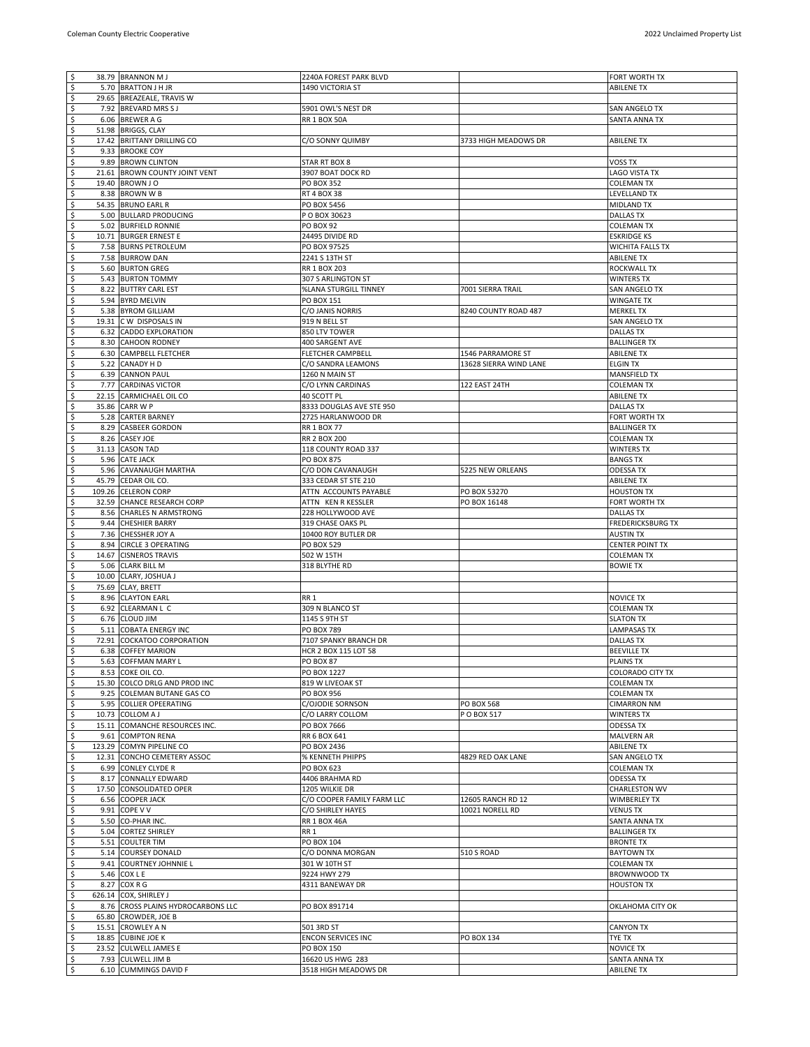| $\zeta$                   | 38.79 BRANNON M J                             | 2240A FOREST PARK BLVD     |                        | FORT WORTH TX            |
|---------------------------|-----------------------------------------------|----------------------------|------------------------|--------------------------|
| $\boldsymbol{\mathsf{S}}$ | 5.70 BRATTON J H JR                           | 1490 VICTORIA ST           |                        | <b>ABILENE TX</b>        |
| \$                        | 29.65 BREAZEALE, TRAVIS W                     |                            |                        |                          |
| $rac{5}{5}$               | 7.92 BREVARD MRS S J                          | 5901 OWL'S NEST DR         |                        | SAN ANGELO TX            |
|                           | 6.06 BREWER A G                               | <b>RR 1 BOX 50A</b>        |                        | SANTA ANNA TX            |
|                           | 51.98 BRIGGS, CLAY                            |                            |                        |                          |
| $\frac{3}{3}$             | 17.42 BRITTANY DRILLING CO                    | C/O SONNY QUIMBY           | 3733 HIGH MEADOWS DR   | <b>ABILENE TX</b>        |
|                           | 9.33 BROOKE COY                               |                            |                        |                          |
|                           | 9.89 BROWN CLINTON                            | STAR RT BOX 8              |                        | VOSS TX                  |
| $\frac{s}{s}$             | 21.61 BROWN COUNTY JOINT VENT                 | 3907 BOAT DOCK RD          |                        | LAGO VISTA TX            |
| \$                        | 19.40 BROWN J O                               | PO BOX 352                 |                        | <b>COLEMAN TX</b>        |
|                           | 8.38 BROWN W B                                | RT 4 BOX 38                |                        | LEVELLAND TX             |
| ی ی                       | 54.35 BRUNO EARL R                            | PO BOX 5456                |                        | <b>MIDLAND TX</b>        |
| \$                        | 5.00 BULLARD PRODUCING                        | P O BOX 30623              |                        | <b>DALLAS TX</b>         |
| \$                        | 5.02 BURFIELD RONNIE                          | <b>PO BOX 92</b>           |                        | <b>COLEMAN TX</b>        |
| $\overline{\varsigma}$    |                                               | 24495 DIVIDE RD            |                        | <b>ESKRIDGE KS</b>       |
| $\overline{\mathsf{S}}$   | 10.71 BURGER ERNEST E<br>7.58 BURNS PETROLEUM | PO BOX 97525               |                        | <b>WICHITA FALLS TX</b>  |
| \$                        | 7.58 BURROW DAN                               | 2241 S 13TH ST             |                        | ABILENE TX               |
| \$                        |                                               |                            |                        |                          |
| $\overline{\mathcal{S}}$  | 5.60 BURTON GREG                              | RR 1 BOX 203               |                        | ROCKWALL TX              |
|                           | 5.43 BURTON TOMMY                             | 307 S ARLINGTON ST         |                        | <b>WINTERS TX</b>        |
| $\varsigma$               | 8.22 BUTTRY CARL EST                          | %LANA STURGILL TINNEY      | 7001 SIERRA TRAIL      | SAN ANGELO TX            |
| $\overline{\varsigma}$    | 5.94 BYRD MELVIN                              | PO BOX 151                 |                        | <b>WINGATE TX</b>        |
| $\boldsymbol{\mathsf{S}}$ | 5.38 BYROM GILLIAM                            | C/O JANIS NORRIS           | 8240 COUNTY ROAD 487   | <b>MERKEL TX</b>         |
| $\frac{5}{5}$             | 19.31 C W DISPOSALS IN                        | 919 N BELL ST              |                        | SAN ANGELO TX            |
|                           | 6.32 CADDO EXPLORATION                        | 850 LTV TOWER              |                        | <b>DALLAS TX</b>         |
| $rac{5}{5}$               | 8.30 CAHOON RODNEY                            | 400 SARGENT AVE            |                        | <b>BALLINGER TX</b>      |
|                           | 6.30 CAMPBELL FLETCHER                        | FLETCHER CAMPBELL          | 1546 PARRAMORE ST      | <b>ABILENE TX</b>        |
|                           | 5.22 CANADY HD                                | C/O SANDRA LEAMONS         | 13628 SIERRA WIND LANE | <b>ELGIN TX</b>          |
| $rac{5}{5}$               | 6.39 CANNON PAUL                              | 1260 N MAIN ST             |                        | MANSFIELD TX             |
|                           | 7.77 CARDINAS VICTOR                          | C/O LYNN CARDINAS          | 122 EAST 24TH          | <b>COLEMAN TX</b>        |
| نوابه.                    | 22.15 CARMICHAEL OIL CO                       | 40 SCOTT PL                |                        | <b>ABILENE TX</b>        |
|                           | 35.86 CARR W P                                | 8333 DOUGLAS AVE STE 950   |                        | <b>DALLAS TX</b>         |
| \$                        | 5.28 CARTER BARNEY                            | 2725 HARLANWOOD DR         |                        | FORT WORTH TX            |
| $\boldsymbol{\varsigma}$  | 8.29 CASBEER GORDON                           | RR 1 BOX 77                |                        | <b>BALLINGER TX</b>      |
| $\overline{\mathcal{S}}$  | 8.26 CASEY JOE                                | <b>RR 2 BOX 200</b>        |                        | <b>COLEMAN TX</b>        |
| \$                        | 31.13 CASON TAD                               | 118 COUNTY ROAD 337        |                        | <b>WINTERS TX</b>        |
| $\boldsymbol{\mathsf{S}}$ | 5.96 CATE JACK                                | <b>PO BOX 875</b>          |                        | <b>BANGS TX</b>          |
| \$                        | 5.96 CAVANAUGH MARTHA                         | C/O DON CAVANAUGH          | 5225 NEW ORLEANS       | ODESSA TX                |
|                           | 45.79 CEDAR OIL CO.                           | 333 CEDAR ST STE 210       |                        | <b>ABILENE TX</b>        |
| $rac{1}{2}$               | 109.26 CELERON CORP                           | ATTN ACCOUNTS PAYABLE      | PO BOX 53270           | <b>HOUSTON TX</b>        |
| $\boldsymbol{\mathsf{S}}$ | 32.59 CHANCE RESEARCH CORP                    | ATTN KENRKESSLER           | PO BOX 16148           | FORT WORTH TX            |
| \$                        | 8.56 CHARLES N ARMSTRONG                      | 228 HOLLYWOOD AVE          |                        | <b>DALLAS TX</b>         |
| \$                        | 9.44 CHESHIER BARRY                           | 319 CHASE OAKS PL          |                        | <b>FREDERICKSBURG TX</b> |
| $\overline{\mathcal{S}}$  | 7.36 CHESSHER JOY A                           | 10400 ROY BUTLER DR        |                        | <b>AUSTIN TX</b>         |
| $\zeta$                   | 8.94 CIRCLE 3 OPERATING                       | PO BOX 529                 |                        | <b>CENTER POINT TX</b>   |
| $\boldsymbol{\zeta}$      |                                               |                            |                        |                          |
| $\overline{\mathcal{S}}$  | 14.67 CISNEROS TRAVIS                         | 502 W 15TH                 |                        | <b>COLEMAN TX</b>        |
|                           | 5.06 CLARK BILL M                             | 318 BLYTHE RD              |                        | <b>BOWIE TX</b>          |
| $\zeta$                   | 10.00 CLARY, JOSHUA J                         |                            |                        |                          |
| \$                        | 75.69 CLAY, BRETT                             |                            |                        |                          |
| $\boldsymbol{\mathsf{S}}$ | 8.96 CLAYTON EARL                             | RR <sub>1</sub>            |                        | <b>NOVICE TX</b>         |
| $\varsigma$               | 6.92 CLEARMAN L C                             | 309 N BLANCO ST            |                        | <b>COLEMAN TX</b>        |
| $\overline{\mathcal{S}}$  | 6.76 CLOUD JIM                                | 1145 S 9TH ST              |                        | <b>SLATON TX</b>         |
| \$                        | 5.11 COBATA ENERGY INC                        | PO BOX 789                 |                        | <b>LAMPASAS TX</b>       |
| \$                        | 72.91 COCKATOO CORPORATION                    | 7107 SPANKY BRANCH DR      |                        | <b>DALLAS TX</b>         |
| \$                        | 6.38 COFFEY MARION                            | HCR 2 BOX 115 LOT 58       |                        | <b>BEEVILLE TX</b>       |
| ي<br>په                   | 5.63 COFFMAN MARY L                           | <b>PO BOX 87</b>           |                        | PLAINS TX                |
|                           | 8.53 COKE OIL CO.                             | PO BOX 1227                |                        | <b>COLORADO CITY TX</b>  |
| $\mathsf{S}$              | 15.30 COLCO DRLG AND PROD INC                 | 819 W LIVEOAK ST           |                        | <b>COLEMAN TX</b>        |
| \$                        | 9.25 COLEMAN BUTANE GAS CO                    | PO BOX 956                 |                        | <b>COLEMAN TX</b>        |
| $rac{5}{5}$               | 5.95 COLLIER OPEERATING                       | C/OJODIE SORNSON           | <b>PO BOX 568</b>      | <b>CIMARRON NM</b>       |
|                           | 10.73 COLLOM A J                              | C/O LARRY COLLOM           | P O BOX 517            | WINTERS TX               |
| $\frac{s}{s}$             | 15.11 COMANCHE RESOURCES INC.                 | PO BOX 7666                |                        | <b>ODESSA TX</b>         |
|                           | 9.61 COMPTON RENA                             | RR 6 BOX 641               |                        | MALVERN AR               |
|                           | 123.29 COMYN PIPELINE CO                      | PO BOX 2436                |                        | <b>ABILENE TX</b>        |
| ی بہ                      | 12.31 CONCHO CEMETERY ASSOC                   | % KENNETH PHIPPS           | 4829 RED OAK LANE      | SAN ANGELO TX            |
|                           | 6.99 CONLEY CLYDE R                           | PO BOX 623                 |                        | <b>COLEMAN TX</b>        |
| $\overline{\mathsf{S}}$   | 8.17 CONNALLY EDWARD                          | 4406 BRAHMA RD             |                        | <b>ODESSA TX</b>         |
| \$                        | 17.50 CONSOLIDATED OPER                       | 1205 WILKIE DR             |                        | <b>CHARLESTON WV</b>     |
| $\mathcal{S}$             | 6.56 COOPER JACK                              | C/O COOPER FAMILY FARM LLC | 12605 RANCH RD 12      | <b>WIMBERLEY TX</b>      |
| $\overline{\xi}$          | 9.91 COPE V V                                 | C/O SHIRLEY HAYES          | 10021 NORELL RD        | <b>VENUS TX</b>          |
| $\mathfrak{s}$            | 5.50 CO-PHAR INC.                             | <b>RR 1 BOX 46A</b>        |                        | SANTA ANNA TX            |
| \$                        | 5.04 CORTEZ SHIRLEY                           | RR 1                       |                        | <b>BALLINGER TX</b>      |
| \$                        | 5.51 COULTER TIM                              | PO BOX 104                 |                        | <b>BRONTE TX</b>         |
| $rac{5}{5}$               | 5.14 COURSEY DONALD                           | C/O DONNA MORGAN           | <b>510 S ROAD</b>      | <b>BAYTOWN TX</b>        |
|                           | 9.41 COURTNEY JOHNNIE L                       | 301 W 10TH ST              |                        | <b>COLEMAN TX</b>        |
| $\zeta$                   | 5.46 COX L E                                  | 9224 HWY 279               |                        | BROWNWOOD TX             |
| \$                        | 8.27 COX R G                                  | 4311 BANEWAY DR            |                        | <b>HOUSTON TX</b>        |
| $\varsigma$               | 626.14 COX, SHIRLEY J                         |                            |                        |                          |
| $\zeta$                   | 8.76 CROSS PLAINS HYDROCARBONS LLC            | PO BOX 891714              |                        | OKLAHOMA CITY OK         |
| $\boldsymbol{\zeta}$      | 65.80 CROWDER, JOE B                          |                            |                        |                          |
|                           | 15.51 CROWLEY A N                             | 501 3RD ST                 |                        | <b>CANYON TX</b>         |
| $\frac{5}{5}$             | 18.85 CUBINE JOE K                            | ENCON SERVICES INC         | PO BOX 134             | TYE TX                   |
|                           | 23.52 CULWELL JAMES E                         | PO BOX 150                 |                        | <b>NOVICE TX</b>         |
| $\boldsymbol{\zeta}$      | 7.93 CULWELL JIM B                            | 16620 US HWG 283           |                        | SANTA ANNA TX            |
| $\boldsymbol{\zeta}$      | 6.10 CUMMINGS DAVID F                         | 3518 HIGH MEADOWS DR       |                        | <b>ABILENE TX</b>        |
|                           |                                               |                            |                        |                          |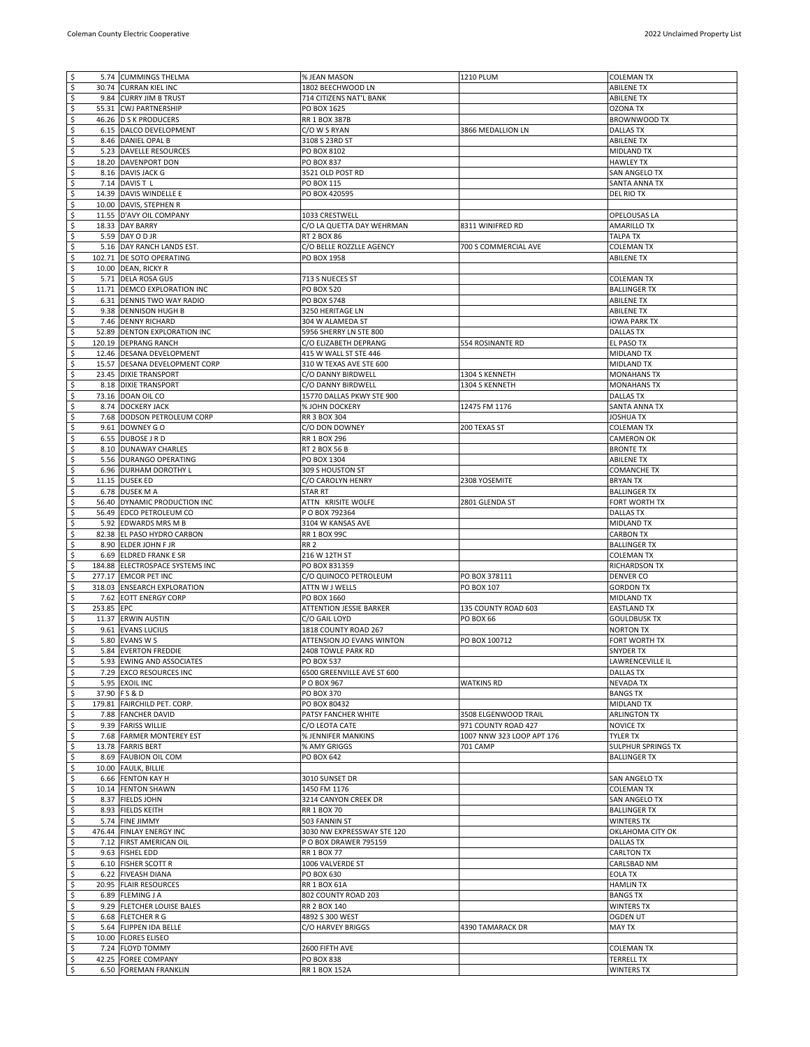| $\sqrt{5}$               |            | 5.74 CUMMINGS THELMA                         | % JEAN MASON                       | 1210 PLUM                 | <b>COLEMAN TX</b>                      |
|--------------------------|------------|----------------------------------------------|------------------------------------|---------------------------|----------------------------------------|
| $\boldsymbol{\varsigma}$ |            | 30.74 CURRAN KIEL INC                        | 1802 BEECHWOOD LN                  |                           | <b>ABILENE TX</b>                      |
| $\sqrt{5}$               |            | 9.84 CURRY JIM B TRUST                       | 714 CITIZENS NAT'L BANK            |                           | <b>ABILENE TX</b>                      |
| \$                       |            | 55.31 CWJ PARTNERSHIP                        | PO BOX 1625                        |                           | <b>OZONA TX</b>                        |
| \$                       |            | 46.26 D S K PRODUCERS                        | <b>RR 1 BOX 387B</b>               |                           | BROWNWOOD TX                           |
| $\varsigma$              |            | 6.15 DALCO DEVELOPMENT                       | C/O W S RYAN                       | 3866 MEDALLION LN         | <b>DALLAS TX</b>                       |
| \$                       |            | 8.46 DANIEL OPAL B                           | 3108 S 23RD ST                     |                           | <b>ABILENE TX</b>                      |
| $\overline{\mathsf{S}}$  |            | 5.23 DAVELLE RESOURCES                       | PO BOX 8102                        |                           | <b>MIDLAND TX</b>                      |
| $\overline{\mathsf{S}}$  |            | 18.20 DAVENPORT DON                          | PO BOX 837                         |                           | <b>HAWLEY TX</b>                       |
| \$                       |            | 8.16 DAVIS JACK G                            | 3521 OLD POST RD                   |                           | SAN ANGELO TX                          |
| \$                       |            | 7.14 DAVIS T L                               | PO BOX 115                         |                           | SANTA ANNA TX                          |
| \$                       |            | 14.39 DAVIS WINDELLE E                       | PO BOX 420595                      |                           | DEL RIO TX                             |
| \$                       |            | 10.00 DAVIS, STEPHEN R                       |                                    |                           |                                        |
| \$                       |            | 11.55 D'AVY OIL COMPANY                      | 1033 CRESTWELL                     |                           | OPELOUSAS LA                           |
| \$                       |            | 18.33 DAY BARRY                              | C/O LA QUETTA DAY WEHRMAN          | 8311 WINIFRED RD          | <b>AMARILLO TX</b>                     |
| \$                       |            | 5.59 DAY O D JR                              | RT 2 BOX 86                        |                           | TALPA TX                               |
| \$                       |            | 5.16 DAY RANCH LANDS EST.                    | C/O BELLE ROZZLLE AGENCY           | 700 S COMMERCIAL AVE      | <b>COLEMAN TX</b>                      |
| \$                       |            | 102.71 DE SOTO OPERATING                     | PO BOX 1958                        |                           | <b>ABILENE TX</b>                      |
| $\overline{\varsigma}$   |            | 10.00 DEAN, RICKY R                          |                                    |                           |                                        |
| \$                       |            | 5.71 DELA ROSA GUS                           | 713 S NUECES ST                    |                           | <b>COLEMAN TX</b>                      |
| \$                       |            | 11.71 DEMCO EXPLORATION INC                  | PO BOX 520                         |                           | <b>BALLINGER TX</b>                    |
| \$                       |            | 6.31 DENNIS TWO WAY RADIO                    | PO BOX 5748                        |                           | <b>ABILENE TX</b>                      |
| \$                       |            | 9.38 DENNISON HUGH B                         | 3250 HERITAGE LN                   |                           | <b>ABILENE TX</b>                      |
| \$                       |            | 7.46 DENNY RICHARD                           | 304 W ALAMEDA ST                   |                           | <b>IOWA PARK TX</b>                    |
| \$                       |            | 52.89 DENTON EXPLORATION INC                 | 5956 SHERRY LN STE 800             |                           | <b>DALLAS TX</b>                       |
| \$                       |            | 120.19 DEPRANG RANCH                         | C/O ELIZABETH DEPRANG              | 554 ROSINANTE RD          | EL PASO TX                             |
| \$                       |            | 12.46 DESANA DEVELOPMENT                     | 415 W WALL ST STE 446              |                           | <b>MIDLAND TX</b>                      |
| $\overline{\mathsf{S}}$  |            | 15.57 DESANA DEVELOPMENT CORP                | 310 W TEXAS AVE STE 600            |                           | <b>MIDLAND TX</b>                      |
| \$                       |            | 23.45 DIXIE TRANSPORT                        | C/O DANNY BIRDWELL                 | 1304 S KENNETH            | <b>MONAHANS TX</b>                     |
| \$                       |            | 8.18 DIXIE TRANSPORT                         | C/O DANNY BIRDWELL                 | 1304 S KENNETH            | <b>MONAHANS TX</b>                     |
| $\overline{\mathsf{S}}$  |            | 73.16 DOAN OIL CO                            | 15770 DALLAS PKWY STE 900          |                           | <b>DALLAS TX</b>                       |
| \$                       |            | 8.74 DOCKERY JACK                            | % JOHN DOCKERY                     | 12475 FM 1176             | SANTA ANNA TX                          |
| $\varsigma$              |            | 7.68 DODSON PETROLEUM CORP                   | <b>RR 3 BOX 304</b>                |                           | <b>JOSHUA TX</b>                       |
| $\overline{\mathsf{S}}$  |            | 9.61 DOWNEY GO                               | C/O DON DOWNEY                     | 200 TEXAS ST              | <b>COLEMAN TX</b>                      |
| $\varsigma$              |            | 6.55 DUBOSE J R D                            | RR 1 BOX 296                       |                           | <b>CAMERON OK</b>                      |
| \$                       |            | 8.10 DUNAWAY CHARLES                         | <b>RT 2 BOX 56 B</b>               |                           | <b>BRONTE TX</b>                       |
| \$                       |            | 5.56 DURANGO OPERATING                       | PO BOX 1304                        |                           | <b>ABILENE TX</b>                      |
| \$                       |            | 6.96 DURHAM DOROTHY L                        | 309 S HOUSTON ST                   |                           | <b>COMANCHE TX</b>                     |
| \$                       |            | 11.15 DUSEK ED                               | C/O CAROLYN HENRY                  | 2308 YOSEMITE             | <b>BRYAN TX</b>                        |
| \$                       |            | 6.78 DUSEK M A                               | STAR RT                            |                           | <b>BALLINGER TX</b>                    |
| \$                       |            | 56.40 DYNAMIC PRODUCTION INC                 | ATTN KRISITE WOLFE                 | 2801 GLENDA ST            | FORT WORTH TX                          |
| \$                       |            | 56.49 EDCO PETROLEUM CO                      | P O BOX 792364                     |                           | <b>DALLAS TX</b>                       |
| \$                       |            | 5.92 EDWARDS MRS M B                         | 3104 W KANSAS AVE                  |                           | <b>MIDLAND TX</b>                      |
| $\overline{\xi}$         |            | 82.38 EL PASO HYDRO CARBON                   | RR 1 BOX 99C                       |                           | <b>CARBON TX</b>                       |
| \$                       |            | 8.90 ELDER JOHN F JR                         | <b>RR 2</b>                        |                           | <b>BALLINGER TX</b>                    |
| \$                       |            | 6.69 ELDRED FRANK E SR                       | 216 W 12TH ST                      |                           | <b>COLEMAN TX</b>                      |
| $\overline{\xi}$         |            | 184.88 ELECTROSPACE SYSTEMS INC              | PO BOX 831359                      |                           | <b>RICHARDSON TX</b>                   |
| \$                       |            | 277.17 EMCOR PET INC                         | C/O QUINOCO PETROLEUM              | PO BOX 378111             | <b>DENVER CO</b>                       |
| \$                       |            | 318.03 ENSEARCH EXPLORATION                  | ATTN W J WELLS                     | PO BOX 107                | <b>GORDON TX</b>                       |
| \$                       |            | 7.62 EOTT ENERGY CORP                        | PO BOX 1660                        |                           | MIDLAND TX                             |
| \$                       | 253.85 EPC |                                              | <b>ATTENTION JESSIE BARKER</b>     | 135 COUNTY ROAD 603       | <b>EASTLAND TX</b>                     |
| \$                       |            | 11.37 ERWIN AUSTIN                           | C/O GAIL LOYD                      | <b>PO BOX 66</b>          | <b>GOULDBUSK TX</b>                    |
| \$                       |            | 9.61 EVANS LUCIUS                            | 1818 COUNTY ROAD 267               |                           | <b>NORTON TX</b>                       |
| \$                       |            | 5.80 EVANS W S                               | ATTENSION JO EVANS WINTON          | PO BOX 100712             | FORT WORTH TX                          |
| \$                       |            | 5.84 EVERTON FREDDIE                         | 2408 TOWLE PARK RD                 |                           | <b>SNYDER TX</b>                       |
| ۱\$                      |            | 5.93 EWING AND ASSOCIATES                    | PO BOX 537                         |                           | LAWRENCEVILLE IL                       |
| $\ddot{\mathsf{s}}$      |            | 7.29 EXCO RESOURCES INC                      | 6500 GREENVILLE AVE ST 600         |                           | <b>DALLAS TX</b>                       |
| $\ddot{\mathsf{s}}$      |            | 5.95 EXOIL INC                               | P O BOX 967                        | <b>WATKINS RD</b>         | <b>NEVADA TX</b>                       |
| $\overline{\mathsf{S}}$  |            | 37.90 FS&D                                   | PO BOX 370                         |                           | <b>BANGS TX</b>                        |
| \$                       |            | 179.81 FAIRCHILD PET. CORP                   | PO BOX 80432                       |                           | MIDLAND TX                             |
| \$                       |            | 7.88 FANCHER DAVID                           | PATSY FANCHER WHITE                | 3508 ELGENWOOD TRAIL      | <b>ARLINGTON TX</b>                    |
| \$                       |            | 9.39 FARISS WILLIE                           | C/O LEOTA CATE                     | 971 COUNTY ROAD 427       | <b>NOVICE TX</b>                       |
| \$                       |            | 7.68 FARMER MONTEREY EST                     | % JENNIFER MANKINS                 | 1007 NNW 323 LOOP APT 176 | TYLER TX                               |
| \$                       |            | 13.78 FARRIS BERT                            | % AMY GRIGGS                       | 701 CAMP                  | <b>SULPHUR SPRINGS TX</b>              |
| \$                       |            | 8.69 FAUBION OIL COM                         | PO BOX 642                         |                           | <b>BALLINGER TX</b>                    |
| \$                       |            | 10.00 FAULK, BILLIE                          |                                    |                           |                                        |
| \$                       |            | 6.66 FENTON KAY H                            | 3010 SUNSET DR                     |                           | SAN ANGELO TX                          |
| \$                       |            | 10.14 FENTON SHAWN                           | 1450 FM 1176                       |                           | <b>COLEMAN TX</b>                      |
| $\overline{\mathsf{S}}$  |            | 8.37 FIELDS JOHN                             | 3214 CANYON CREEK DR               |                           | SAN ANGELO TX                          |
| \$                       |            | 8.93 FIELDS KEITH                            | <b>RR 1 BOX 70</b>                 |                           | <b>BALLINGER TX</b>                    |
| \$                       |            | 5.74 FINE JIMMY                              | 503 FANNIN ST                      |                           | <b>WINTERS TX</b>                      |
| \$                       |            | 476.44 FINLAY ENERGY INC                     | 3030 NW EXPRESSWAY STE 120         |                           | OKLAHOMA CITY OK                       |
| \$                       |            | 7.12 FIRST AMERICAN OIL                      | P O BOX DRAWER 795159              |                           | <b>DALLAS TX</b>                       |
| \$                       |            | 9.63 FISHEL EDD                              | RR 1 BOX 77                        |                           | <b>CARLTON TX</b>                      |
| \$                       |            | 6.10 FISHER SCOTT R                          | 1006 VALVERDE ST                   |                           | CARLSBAD NM                            |
| \$                       |            | 6.22 FIVEASH DIANA                           | PO BOX 630                         |                           | <b>EOLATX</b>                          |
| \$                       |            | 20.95 FLAIR RESOURCES                        | <b>RR 1 BOX 61A</b>                |                           | <b>HAMLIN TX</b>                       |
| $\overline{\mathsf{S}}$  |            | 6.89 FLEMING J A                             | 802 COUNTY ROAD 203                |                           | <b>BANGS TX</b>                        |
| \$                       |            | 9.29 FLETCHER LOUISE BALES                   | RR 2 BOX 140                       |                           | <b>WINTERS TX</b>                      |
| \$                       |            | 6.68 FLETCHER R G                            | 4892 S 300 WEST                    |                           | <b>OGDEN UT</b>                        |
| \$                       |            | 5.64 FLIPPEN IDA BELLE                       | C/O HARVEY BRIGGS                  | 4390 TAMARACK DR          | <b>MAY TX</b>                          |
| \$                       |            | 10.00 FLORES ELISEO                          |                                    |                           |                                        |
|                          |            |                                              |                                    |                           |                                        |
| \$                       |            | 7.24 FLOYD TOMMY                             | 2600 FIFTH AVE                     |                           | <b>COLEMAN TX</b>                      |
| \$<br>s,                 |            | 42.25 FOREE COMPANY<br>6.50 FOREMAN FRANKLIN | <b>PO BOX 838</b><br>RR 1 BOX 152A |                           | <b>TERRELL TX</b><br><b>WINTERS TX</b> |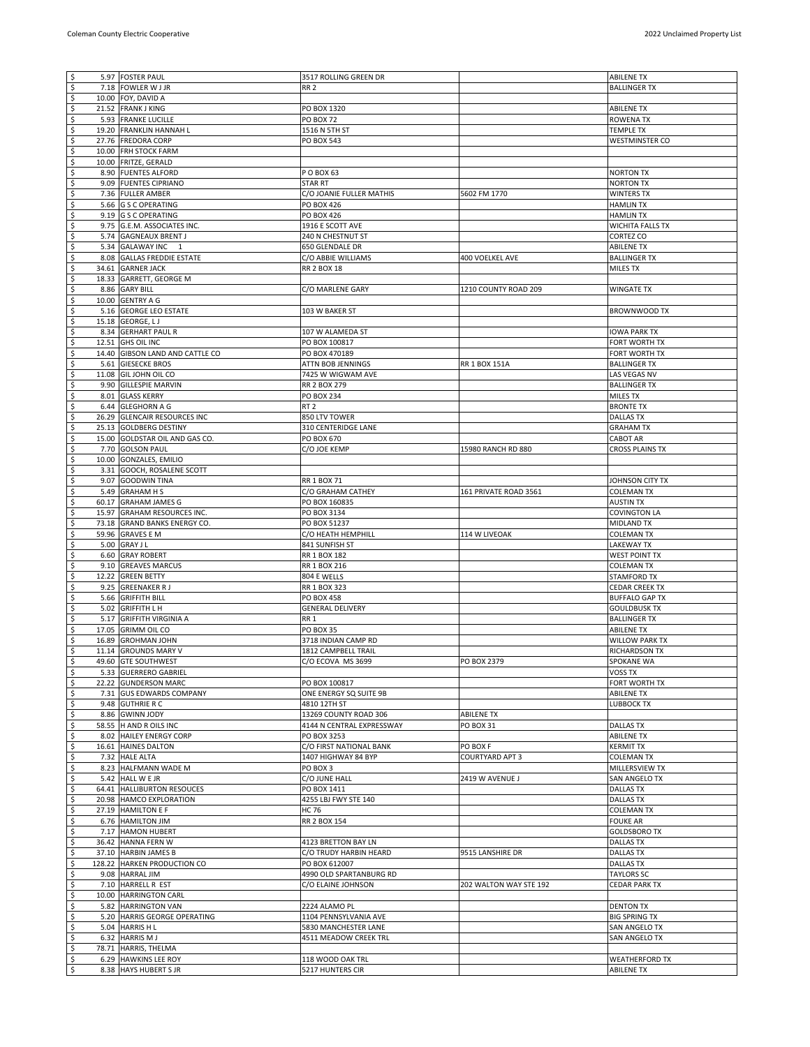| l\$                                             | 5.97 FOSTER PAUL                | 3517 ROLLING GREEN DR     |                        | <b>ABILENE TX</b>       |
|-------------------------------------------------|---------------------------------|---------------------------|------------------------|-------------------------|
| s,                                              | 7.18 FOWLER W J JR              | <b>RR 2</b>               |                        | <b>BALLINGER TX</b>     |
| \$                                              | 10.00 FOY, DAVID A              |                           |                        |                         |
| \$                                              | 21.52 FRANK J KING              | PO BOX 1320               |                        | <b>ABILENE TX</b>       |
| $\ddot{\varsigma}$                              | 5.93 FRANKE LUCILLE             | <b>PO BOX 72</b>          |                        | ROWENA TX               |
| $\overline{\mathcal{S}}$                        | 19.20 FRANKLIN HANNAH L         | 1516 N 5TH ST             |                        | <b>TEMPLE TX</b>        |
| \$                                              | 27.76 FREDORA CORP              | PO BOX 543                |                        | <b>WESTMINSTER CO</b>   |
| $\overline{\mathsf{S}}$                         | 10.00 FRH STOCK FARM            |                           |                        |                         |
| \$                                              | 10.00 FRITZE, GERALD            |                           |                        |                         |
| \$                                              | 8.90 FUENTES ALFORD             | P O BOX 63                |                        | <b>NORTON TX</b>        |
| $\overline{\mathsf{S}}$                         |                                 |                           |                        |                         |
|                                                 | 9.09 FUENTES CIPRIANO           | <b>STAR RT</b>            |                        | <b>NORTON TX</b>        |
| \$                                              | 7.36 FULLER AMBER               | C/O JOANIE FULLER MATHIS  | 5602 FM 1770           | <b>WINTERS TX</b>       |
| \$                                              | 5.66 G S C OPERATING            | PO BOX 426                |                        | <b>HAMLIN TX</b>        |
| \$                                              | 9.19 G S C OPERATING            | PO BOX 426                |                        | <b>HAMLIN TX</b>        |
| \$                                              | 9.75 G.E.M. ASSOCIATES INC.     | 1916 E SCOTT AVE          |                        | <b>WICHITA FALLS TX</b> |
| \$                                              | 5.74 GAGNEAUX BRENT J           | 240 N CHESTNUT ST         |                        | CORTEZ CO               |
| $\overline{\mathsf{S}}$                         | 5.34 GALAWAY INC 1              | 650 GLENDALE DR           |                        | <b>ABILENE TX</b>       |
| \$                                              | 8.08 GALLAS FREDDIE ESTATE      | C/O ABBIE WILLIAMS        | 400 VOELKEL AVE        | <b>BALLINGER TX</b>     |
| $\overline{\mathsf{S}}$                         | 34.61 GARNER JACK               | RR 2 BOX 18               |                        | MILES TX                |
| $\overline{\mathsf{S}}$                         | 18.33 GARRETT, GEORGE M         |                           |                        |                         |
| \$                                              | 8.86 GARY BILL                  | C/O MARLENE GARY          | 1210 COUNTY ROAD 209   | WINGATE TX              |
| \$                                              | 10.00 GENTRY A G                |                           |                        |                         |
| \$                                              | 5.16 GEORGE LEO ESTATE          | 103 W BAKER ST            |                        | <b>BROWNWOOD TX</b>     |
| \$                                              | 15.18 GEORGE, LJ                |                           |                        |                         |
| \$                                              |                                 | 107 W ALAMEDA ST          |                        |                         |
|                                                 | 8.34 GERHART PAUL R             |                           |                        | <b>IOWA PARK TX</b>     |
| \$                                              | 12.51 GHS OIL INC               | PO BOX 100817             |                        | FORT WORTH TX           |
| \$                                              | 14.40 GIBSON LAND AND CATTLE CO | PO BOX 470189             |                        | FORT WORTH TX           |
| $\overline{\mathsf{S}}$                         | 5.61 GIESECKE BROS              | ATTN BOB JENNINGS         | RR 1 BOX 151A          | <b>BALLINGER TX</b>     |
| \$                                              | 11.08 GIL JOHN OIL CO           | 7425 W WIGWAM AVE         |                        | LAS VEGAS NV            |
| \$                                              | 9.90 GILLESPIE MARVIN           | <b>RR 2 BOX 279</b>       |                        | <b>BALLINGER TX</b>     |
| \$                                              | 8.01 GLASS KERRY                | PO BOX 234                |                        | <b>MILES TX</b>         |
| \$                                              | 6.44 GLEGHORN A G               | RT <sub>2</sub>           |                        | <b>BRONTE TX</b>        |
| $\overline{\mathsf{S}}$                         | 26.29 GLENCAIR RESOURCES INC    | 850 LTV TOWER             |                        | <b>DALLAS TX</b>        |
| $\overline{\mathcal{S}}$                        | 25.13 GOLDBERG DESTINY          | 310 CENTERIDGE LANE       |                        | <b>GRAHAM TX</b>        |
| \$                                              | 15.00 GOLDSTAR OIL AND GAS CO.  | PO BOX 670                |                        | CABOT AR                |
| \$                                              |                                 | C/O JOE KEMP              |                        |                         |
|                                                 | 7.70 GOLSON PAUL                |                           | 15980 RANCH RD 880     | CROSS PLAINS TX         |
| \$                                              | 10.00 GONZALES, EMILIO          |                           |                        |                         |
| \$                                              | 3.31 GOOCH, ROSALENE SCOTT      |                           |                        |                         |
| \$                                              | 9.07 GOODWIN TINA               | RR 1 BOX 71               |                        | JOHNSON CITY TX         |
| \$                                              | 5.49 GRAHAM H S                 | C/O GRAHAM CATHEY         | 161 PRIVATE ROAD 3561  | <b>COLEMAN TX</b>       |
| \$                                              | 60.17 GRAHAM JAMES G            | PO BOX 160835             |                        | <b>AUSTIN TX</b>        |
| $\overline{\mathsf{S}}$                         | 15.97 GRAHAM RESOURCES INC.     | PO BOX 3134               |                        | <b>COVINGTON LA</b>     |
| \$                                              | 73.18 GRAND BANKS ENERGY CO.    | PO BOX 51237              |                        | <b>MIDLAND TX</b>       |
| $\overline{\mathsf{S}}$                         | 59.96 GRAVES E M                | C/O HEATH HEMPHILL        | 114 W LIVEOAK          | <b>COLEMAN TX</b>       |
| \$                                              | 5.00 GRAY J L                   | 841 SUNFISH ST            |                        | LAKEWAY TX              |
| \$                                              | 6.60 GRAY ROBERT                | RR 1 BOX 182              |                        | <b>WEST POINT TX</b>    |
| \$                                              | 9.10 GREAVES MARCUS             | RR 1 BOX 216              |                        | <b>COLEMAN TX</b>       |
|                                                 |                                 |                           |                        |                         |
| \$                                              | 12.22 GREEN BETTY               | 804 E WELLS               |                        | <b>STAMFORD TX</b>      |
| $\overline{\mathcal{S}}$                        | 9.25 GREENAKER R J              | RR 1 BOX 323              |                        | <b>CEDAR CREEK TX</b>   |
| \$                                              | 5.66 GRIFFITH BILL              | <b>PO BOX 458</b>         |                        | <b>BUFFALO GAP TX</b>   |
| \$                                              | 5.02 GRIFFITH L H               | <b>GENERAL DELIVERY</b>   |                        | <b>GOULDBUSK TX</b>     |
| \$                                              | 5.17 GRIFFITH VIRGINIA A        | RR <sub>1</sub>           |                        | <b>BALLINGER TX</b>     |
| \$                                              | 17.05 GRIMM OIL CO              | <b>PO BOX 35</b>          |                        | <b>ABILENE TX</b>       |
| \$                                              | 16.89 GROHMAN JOHN              | 3718 INDIAN CAMP RD       |                        | <b>WILLOW PARK TX</b>   |
| \$                                              | 11.14 GROUNDS MARY V            | 1812 CAMPBELL TRAIL       |                        | RICHARDSON TX           |
| ې                                               | 49.60 GTE SOUTHWEST             | C/O ECOVA MS 3699         | PO BOX 2379            | SPOKANE WA              |
| $\ddot{\mathsf{s}}$                             | 5.33 GUERRERO GABRIEL           |                           |                        | VOSS TX                 |
| $\overline{\mathbf{5}}$                         | 22.22 GUNDERSON MARC            | PO BOX 100817             |                        | FORT WORTH TX           |
| \$                                              | 7.31 GUS EDWARDS COMPANY        | ONE ENERGY SQ SUITE 9B    |                        | <b>ABILENE TX</b>       |
| $\overline{\mathcal{S}}$                        | 9.48 GUTHRIE R C                | 4810 12TH ST              |                        | <b>LUBBOCK TX</b>       |
| $\overline{\mathsf{S}}$                         | 8.86 GWINN JODY                 | 13269 COUNTY ROAD 306     | ABILENE TX             |                         |
|                                                 |                                 |                           |                        |                         |
| \$                                              | 58.55 H AND R OILS INC          | 4144 N CENTRAL EXPRESSWAY | PO BOX 31              | <b>DALLAS TX</b>        |
| \$                                              | 8.02 HAILEY ENERGY CORP         | PO BOX 3253               |                        | <b>ABILENE TX</b>       |
| \$                                              | 16.61 HAINES DALTON             | C/O FIRST NATIONAL BANK   | PO BOX F               | KERMIT TX               |
| \$                                              | 7.32 HALE ALTA                  | 1407 HIGHWAY 84 BYP       | COURTYARD APT 3        | COLEMAN TX              |
| \$                                              | 8.23 HALFMANN WADE M            | PO BOX 3                  |                        | MILLERSVIEW TX          |
| $\overline{\mathsf{S}}$                         | 5.42 HALL W E JR                | C/O JUNE HALL             | 2419 W AVENUE J        | SAN ANGELO TX           |
| \$                                              | 64.41 HALLIBURTON RESOUCES      | PO BOX 1411               |                        | <b>DALLAS TX</b>        |
| $\overline{\mathsf{S}}$                         | 20.98 HAMCO EXPLORATION         | 4255 LBJ FWY STE 140      |                        | <b>DALLAS TX</b>        |
| \$                                              | 27.19 HAMILTON E F              | HC 76                     |                        | <b>COLEMAN TX</b>       |
| \$                                              | 6.76 HAMILTON JIM               | RR 2 BOX 154              |                        | <b>FOUKE AR</b>         |
| \$                                              | 7.17 HAMON HUBERT               |                           |                        | <b>GOLDSBORO TX</b>     |
|                                                 |                                 |                           |                        |                         |
| \$                                              | 36.42 HANNA FERN W              | 4123 BRETTON BAY LN       |                        | <b>DALLAS TX</b>        |
| $\varsigma$                                     | 37.10 HARBIN JAMES B            | C/O TRUDY HARBIN HEARD    | 9515 LANSHIRE DR       | <b>DALLAS TX</b>        |
| \$                                              | 128.22 HARKEN PRODUCTION CO     | PO BOX 612007             |                        | <b>DALLAS TX</b>        |
| \$                                              | 9.08 HARRAL JIM                 | 4990 OLD SPARTANBURG RD   |                        | <b>TAYLORS SC</b>       |
| \$                                              | 7.10 HARRELL R EST              | C/O ELAINE JOHNSON        | 202 WALTON WAY STE 192 | CEDAR PARK TX           |
| \$                                              | 10.00 HARRINGTON CARL           |                           |                        |                         |
| \$                                              | 5.82 HARRINGTON VAN             | 2224 ALAMO PL             |                        | <b>DENTON TX</b>        |
| \$                                              | 5.20 HARRIS GEORGE OPERATING    | 1104 PENNSYLVANIA AVE     |                        | <b>BIG SPRING TX</b>    |
| \$                                              | 5.04 HARRIS H L                 | 5830 MANCHESTER LANE      |                        | SAN ANGELO TX           |
| \$                                              | 6.32 HARRIS M J                 | 4511 MEADOW CREEK TRL     |                        | SAN ANGELO TX           |
| $\varsigma$                                     | 78.71 HARRIS, THELMA            |                           |                        |                         |
|                                                 |                                 |                           |                        |                         |
| $\overline{\mathcal{S}}$<br>$\ddot{\mathsf{S}}$ | 6.29 HAWKINS LEE ROY            | 118 WOOD OAK TRL          |                        | <b>WEATHERFORD TX</b>   |
|                                                 | 8.38 HAYS HUBERT S JR           | 5217 HUNTERS CIR          |                        | <b>ABILENE TX</b>       |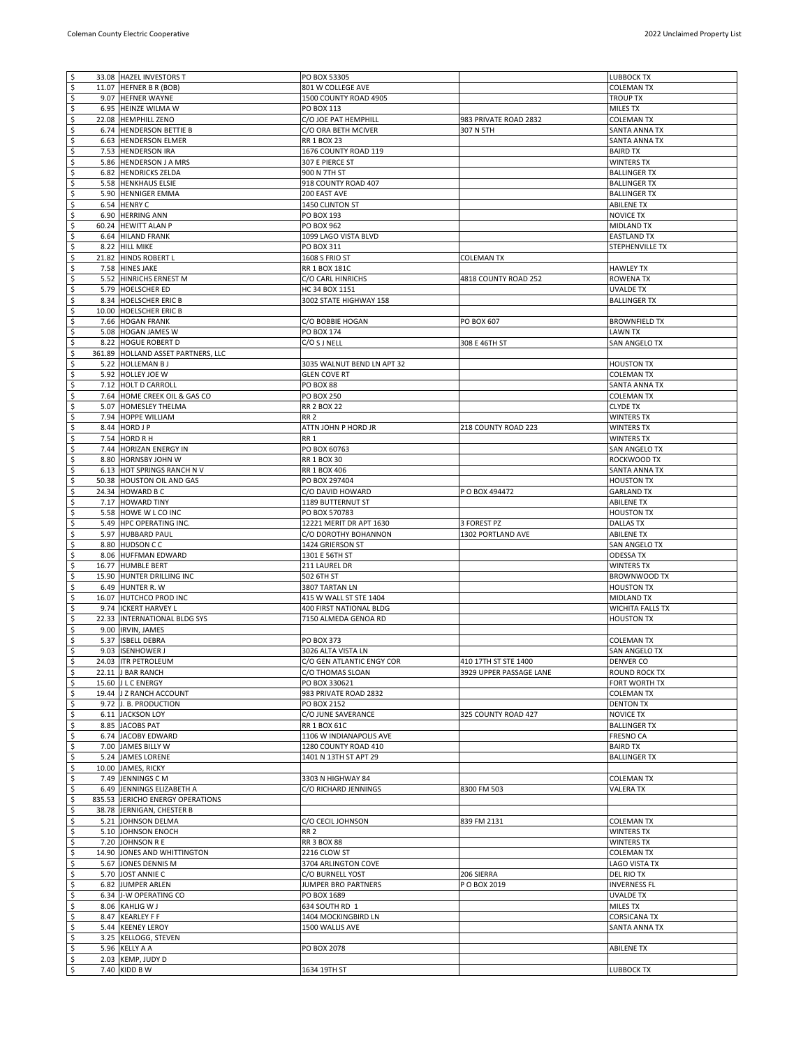| $\ddot{\mathsf{s}}$       | 33.08 HAZEL INVESTORS T            | PO BOX 53305               |                         | <b>LUBBOCK TX</b>       |
|---------------------------|------------------------------------|----------------------------|-------------------------|-------------------------|
| $\boldsymbol{\mathsf{S}}$ | 11.07 HEFNER B R (BOB)             | 801 W COLLEGE AVE          |                         | <b>COLEMAN TX</b>       |
| $\overline{\mathsf{S}}$   | 9.07 HEFNER WAYNE                  | 1500 COUNTY ROAD 4905      |                         | <b>TROUP TX</b>         |
| $\overline{\mathsf{S}}$   | 6.95 HEINZE WILMA W                | PO BOX 113                 |                         | <b>MILES TX</b>         |
| \$                        | 22.08 HEMPHILL ZENO                | C/O JOE PAT HEMPHILL       | 983 PRIVATE ROAD 2832   | <b>COLEMAN TX</b>       |
| \$                        | 6.74 HENDERSON BETTIE B            | C/O ORA BETH MCIVER        | 307 N 5TH               | SANTA ANNA TX           |
| \$                        | 6.63 HENDERSON ELMER               | <b>RR 1 BOX 23</b>         |                         | SANTA ANNA TX           |
| $\varsigma$               | 7.53 HENDERSON IRA                 | 1676 COUNTY ROAD 119       |                         | <b>BAIRD TX</b>         |
| \$                        | 5.86 HENDERSON J A MRS             | 307 E PIERCE ST            |                         | <b>WINTERS TX</b>       |
| \$                        | 6.82 HENDRICKS ZELDA               | 900 N 7TH ST               |                         | <b>BALLINGER TX</b>     |
| $\varsigma$               |                                    | 918 COUNTY ROAD 407        |                         | <b>BALLINGER TX</b>     |
|                           | 5.58 HENKHAUS ELSIE                |                            |                         |                         |
| \$                        | 5.90 HENNIGER EMMA                 | 200 EAST AVE               |                         | <b>BALLINGER TX</b>     |
| \$                        | 6.54 HENRY C                       | 1450 CLINTON ST            |                         | <b>ABILENE TX</b>       |
| \$                        | 6.90 HERRING ANN                   | PO BOX 193                 |                         | <b>NOVICE TX</b>        |
| \$                        | 60.24 HEWITT ALAN P                | <b>PO BOX 962</b>          |                         | <b>MIDLAND TX</b>       |
| \$                        | 6.64 HILAND FRANK                  | 1099 LAGO VISTA BLVD       |                         | <b>EASTLAND TX</b>      |
| $\overline{\mathcal{S}}$  | 8.22 HILL MIKE                     | PO BOX 311                 |                         | STEPHENVILLE TX         |
| \$                        | 21.82 HINDS ROBERT L               | 1608 S FRIO ST             | <b>COLEMAN TX</b>       |                         |
| \$                        | 7.58 HINES JAKE                    | RR 1 BOX 181C              |                         | <b>HAWLEY TX</b>        |
| $\varsigma$               | 5.52 HINRICHS ERNEST M             | C/O CARL HINRICHS          | 4818 COUNTY ROAD 252    | <b>ROWENA TX</b>        |
| \$                        | 5.79 HOELSCHER ED                  | HC 34 BOX 1151             |                         | <b>UVALDE TX</b>        |
| \$                        | 8.34 HOELSCHER ERIC B              | 3002 STATE HIGHWAY 158     |                         | <b>BALLINGER TX</b>     |
| \$                        | 10.00 HOELSCHER ERIC B             |                            |                         |                         |
| \$                        | 7.66 HOGAN FRANK                   | C/O BOBBIE HOGAN           | PO BOX 607              | <b>BROWNFIELD TX</b>    |
| \$                        |                                    |                            |                         |                         |
|                           | 5.08 HOGAN JAMES W                 | PO BOX 174                 |                         | <b>LAWN TX</b>          |
| $\overline{\mathsf{S}}$   | 8.22 HOGUE ROBERT D                | C/O S J NELL               | 308 E 46TH ST           | <b>SAN ANGELO TX</b>    |
| \$                        | 361.89 HOLLAND ASSET PARTNERS, LLC |                            |                         |                         |
| $\overline{\mathsf{S}}$   | 5.22 HOLLEMAN BJ                   | 3035 WALNUT BEND LN APT 32 |                         | <b>HOUSTON TX</b>       |
| $\overline{\mathsf{S}}$   | 5.92 HOLLEY JOE W                  | <b>GLEN COVE RT</b>        |                         | <b>COLEMAN TX</b>       |
| \$                        | 7.12 HOLT D CARROLL                | PO BOX 88                  |                         | SANTA ANNA TX           |
| \$                        | 7.64 HOME CREEK OIL & GAS CO       | <b>PO BOX 250</b>          |                         | <b>COLEMAN TX</b>       |
| \$                        | 5.07 HOMESLEY THELMA               | <b>RR 2 BOX 22</b>         |                         | <b>CLYDE TX</b>         |
| \$                        | 7.94 HOPPE WILLIAM                 | RR <sub>2</sub>            |                         | <b>WINTERS TX</b>       |
| \$                        | 8.44 HORD J P                      | ATTN JOHN P HORD JR        | 218 COUNTY ROAD 223     | <b>WINTERS TX</b>       |
| \$                        | 7.54 HORD R H                      | RR <sub>1</sub>            |                         | <b>WINTERS TX</b>       |
| \$                        |                                    | PO BOX 60763               |                         | SAN ANGELO TX           |
|                           | 7.44 HORIZAN ENERGY IN             |                            |                         |                         |
| \$                        | 8.80 HORNSBY JOHN W                | RR 1 BOX 30                |                         | ROCKWOOD TX             |
| \$                        | 6.13 HOT SPRINGS RANCH N V         | RR 1 BOX 406               |                         | SANTA ANNA TX           |
| \$                        | 50.38 HOUSTON OIL AND GAS          | PO BOX 297404              |                         | <b>HOUSTON TX</b>       |
| $\overline{\mathcal{S}}$  | 24.34 HOWARD B C                   | C/O DAVID HOWARD           | P O BOX 494472          | <b>GARLAND TX</b>       |
| \$                        | 7.17 HOWARD TINY                   | 1189 BUTTERNUT ST          |                         | <b>ABILENE TX</b>       |
| $\varsigma$               | 5.58 HOWE W L CO INC               | PO BOX 570783              |                         | <b>HOUSTON TX</b>       |
|                           |                                    |                            |                         |                         |
| $\overline{\mathcal{S}}$  | 5.49 HPC OPERATING INC.            | 12221 MERIT DR APT 1630    | 3 FOREST PZ             | <b>DALLAS TX</b>        |
| \$                        | 5.97 HUBBARD PAUL                  | C/O DOROTHY BOHANNON       | 1302 PORTLAND AVE       | <b>ABILENE TX</b>       |
| \$                        | 8.80 HUDSON CC                     | 1424 GRIERSON ST           |                         | SAN ANGELO TX           |
|                           |                                    |                            |                         |                         |
| \$                        | 8.06 HUFFMAN EDWARD                | 1301 E 56TH ST             |                         | <b>ODESSA TX</b>        |
| \$                        | 16.77 HUMBLE BERT                  | 211 LAUREL DR              |                         | <b>WINTERS TX</b>       |
| \$                        | 15.90 HUNTER DRILLING INC          | 502 6TH ST                 |                         | <b>BROWNWOOD TX</b>     |
| \$                        | 6.49 HUNTER R.W                    | 3807 TARTAN LN             |                         | <b>HOUSTON TX</b>       |
| \$                        | 16.07 HUTCHCO PROD INC             | 415 W WALL ST STE 1404     |                         | <b>MIDLAND TX</b>       |
| $\overline{\mathsf{S}}$   | 9.74 ICKERT HARVEY L               | 400 FIRST NATIONAL BLDG    |                         | <b>WICHITA FALLS TX</b> |
| \$                        | 22.33 INTERNATIONAL BLDG SYS       | 7150 ALMEDA GENOA RD       |                         | <b>HOUSTON TX</b>       |
| \$                        | 9.00 IRVIN, JAMES                  |                            |                         |                         |
| \$                        | 5.37 ISBELL DEBRA                  | PO BOX 373                 |                         | <b>COLEMAN TX</b>       |
| \$                        | 9.03 ISENHOWER J                   | 3026 ALTA VISTA LN         |                         | SAN ANGELO TX           |
| l \$                      | 24.03 ITR PETROLEUM                | C/O GEN ATLANTIC ENGY COR  | 410 17TH ST STE 1400    | <b>DENVER CO</b>        |
| इं                        | 22.11 J BAR RANCH                  | C/O THOMAS SLOAN           | 3929 UPPER PASSAGE LANE | ROUND ROCK TX           |
| $\boldsymbol{\varsigma}$  | 15.60 J L C ENERGY                 | PO BOX 330621              |                         | FORT WORTH TX           |
| $\varsigma$               | 19.44 J Z RANCH ACCOUNT            | 983 PRIVATE ROAD 2832      |                         | <b>COLEMAN TX</b>       |
| \$                        | 9.72 J. B. PRODUCTION              | PO BOX 2152                |                         | <b>DENTON TX</b>        |
|                           | 6.11 JACKSON LOY                   | C/O JUNE SAVERANCE         | 325 COUNTY ROAD 427     | <b>NOVICE TX</b>        |
| $\boldsymbol{\varsigma}$  | 8.85 JACOBS PAT                    | <b>RR 1 BOX 61C</b>        |                         | <b>BALLINGER TX</b>     |
| \$                        |                                    |                            |                         |                         |
| \$                        | 6.74 JACOBY EDWARD                 | 1106 W INDIANAPOLIS AVE    |                         | <b>FRESNO CA</b>        |
| \$                        | 7.00 JAMES BILLY W                 | 1280 COUNTY ROAD 410       |                         | <b>BAIRD TX</b>         |
| \$                        | 5.24 JAMES LORENE                  | 1401 N 13TH ST APT 29      |                         | <b>BALLINGER TX</b>     |
| \$                        | 10.00 JAMES, RICKY                 |                            |                         |                         |
| $\overline{\mathsf{S}}$   | 7.49 JENNINGS C M                  | 3303 N HIGHWAY 84          |                         | <b>COLEMAN TX</b>       |
| $\varsigma$               | 6.49 JENNINGS ELIZABETH A          | C/O RICHARD JENNINGS       | 8300 FM 503             | <b>VALERA TX</b>        |
| $\varsigma$               | 835.53 JERICHO ENERGY OPERATIONS   |                            |                         |                         |
| $\overline{\mathsf{S}}$   | 38.78 JERNIGAN, CHESTER B          |                            |                         |                         |
| \$                        | 5.21 JOHNSON DELMA                 | C/O CECIL JOHNSON          | 839 FM 2131             | <b>COLEMAN TX</b>       |
| \$                        | 5.10 JOHNSON ENOCH                 | RR <sub>2</sub>            |                         | <b>WINTERS TX</b>       |
| \$                        | 7.20 JOHNSON R E                   | <b>RR 3 BOX 88</b>         |                         | <b>WINTERS TX</b>       |
| \$                        | 14.90 JONES AND WHITTINGTON        | 2216 CLOW ST               |                         | <b>COLEMAN TX</b>       |
|                           | 5.67 JONES DENNIS M                | 3704 ARLINGTON COVE        |                         | <b>LAGO VISTA TX</b>    |
| \$                        | 5.70 JOST ANNIE C                  | C/O BURNELL YOST           | 206 SIERRA              | DEL RIO TX              |
| $\varsigma$               |                                    |                            |                         |                         |
| \$                        | 6.82 JUMPER ARLEN                  | JUMPER BRO PARTNERS        | P O BOX 2019            | <b>INVERNESS FL</b>     |
| $\overline{\mathsf{S}}$   | 6.34 J-W OPERATING CO              | PO BOX 1689                |                         | <b>UVALDE TX</b>        |
| $\varsigma$               | 8.06 KAHLIG W J                    | 634 SOUTH RD 1             |                         | <b>MILES TX</b>         |
| \$                        | 8.47 KEARLEY F F                   | 1404 MOCKINGBIRD LN        |                         | <b>CORSICANA TX</b>     |
| \$                        | 5.44 KEENEY LEROY                  | 1500 WALLIS AVE            |                         | SANTA ANNA TX           |
| \$                        | 3.25 KELLOGG, STEVEN               |                            |                         |                         |
| \$                        | 5.96 KELLY A A                     | PO BOX 2078                |                         | <b>ABILENE TX</b>       |
| \$<br>$\ddot{\mathsf{S}}$ | 2.03 KEMP, JUDY D<br>7.40 KIDD B W | 1634 19TH ST               |                         | <b>LUBBOCK TX</b>       |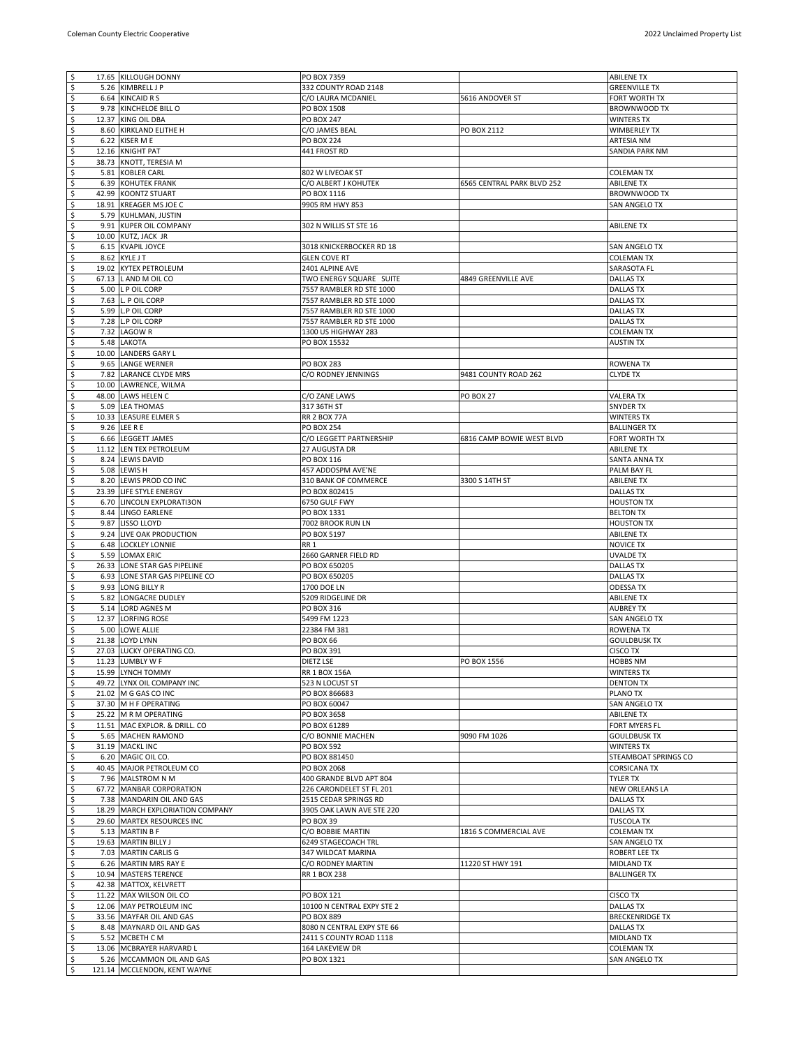| l \$<br>\$<br>5.26               |                                                           |                            |                            |                        |
|----------------------------------|-----------------------------------------------------------|----------------------------|----------------------------|------------------------|
|                                  | 17.65 KILLOUGH DONNY                                      | PO BOX 7359                |                            | <b>ABILENE TX</b>      |
|                                  | KIMBRELL J P                                              | 332 COUNTY ROAD 2148       |                            | <b>GREENVILLE TX</b>   |
| \$                               | 6.64 KINCAID R S                                          | C/O LAURA MCDANIEL         | 5616 ANDOVER ST            | FORT WORTH TX          |
|                                  |                                                           |                            |                            |                        |
| $\ddot{\mathsf{s}}$<br>9.78      | KINCHELOE BILL O                                          | PO BOX 1508                |                            | BROWNWOOD TX           |
| \$                               | 12.37 KING OIL DBA                                        | PO BOX 247                 |                            | <b>WINTERS TX</b>      |
| \$                               | 8.60 KIRKLAND ELITHE H                                    | C/O JAMES BEAL             | PO BOX 2112                | WIMBERLEY TX           |
| $\ddot{\varsigma}$<br>6.22       | KISER M E                                                 | <b>PO BOX 224</b>          |                            | ARTESIA NM             |
| \$<br>12.16                      | <b>KNIGHT PAT</b>                                         | 441 FROST RD               |                            | SANDIA PARK NM         |
|                                  |                                                           |                            |                            |                        |
| \$                               | 38.73 KNOTT, TERESIA M                                    |                            |                            |                        |
| $\varsigma$<br>5.81              | <b>KOBLER CARL</b>                                        | 802 W LIVEOAK ST           |                            | <b>COLEMAN TX</b>      |
| \$<br>6.39                       | KOHUTEK FRANK                                             | C/O ALBERT J KOHUTEK       | 6565 CENTRAL PARK BLVD 252 | <b>ABILENE TX</b>      |
| \$                               | 42.99 KOONTZ STUART                                       | PO BOX 1116                |                            | BROWNWOOD TX           |
| \$                               | 18.91 KREAGER MS JOE C                                    | 9905 RM HWY 853            |                            | SAN ANGELO TX          |
|                                  |                                                           |                            |                            |                        |
| \$<br>5.79                       | KUHLMAN, JUSTIN                                           |                            |                            |                        |
| \$<br>9.91                       | <b>KUPER OIL COMPANY</b>                                  | 302 N WILLIS ST STE 16     |                            | <b>ABILENE TX</b>      |
| \$                               | 10.00 KUTZ, JACK JR                                       |                            |                            |                        |
| \$<br>6.15                       | <b>KVAPIL JOYCE</b>                                       | 3018 KNICKERBOCKER RD 18   |                            | SAN ANGELO TX          |
| $\boldsymbol{\varsigma}$<br>8.62 | <b>KYLE J T</b>                                           | <b>GLEN COVE RT</b>        |                            | <b>COLEMAN TX</b>      |
| \$                               | 19.02 KYTEX PETROLEUM                                     | 2401 ALPINE AVE            |                            | SARASOTA FL            |
| \$<br>67.13                      |                                                           |                            |                            |                        |
|                                  | L AND M OIL CO                                            | TWO ENERGY SQUARE SUITE    | 4849 GREENVILLE AVE        | <b>DALLAS TX</b>       |
| \$<br>5.00                       | L P OIL CORP                                              | 7557 RAMBLER RD STE 1000   |                            | <b>DALLAS TX</b>       |
| \$<br>7.63                       | L. P OIL CORP                                             | 7557 RAMBLER RD STE 1000   |                            | <b>DALLAS TX</b>       |
| \$<br>5.99                       | <b>L.P OIL CORP</b>                                       | 7557 RAMBLER RD STE 1000   |                            | DALLAS TX              |
| \$<br>7.28                       | L.P OIL CORP                                              | 7557 RAMBLER RD STE 1000   |                            | <b>DALLAS TX</b>       |
| \$<br>7.32                       | <b>LAGOWR</b>                                             | 1300 US HIGHWAY 283        |                            | <b>COLEMAN TX</b>      |
|                                  |                                                           |                            |                            |                        |
| \$<br>5.48                       | LAKOTA                                                    | PO BOX 15532               |                            | <b>AUSTIN TX</b>       |
| \$                               | 10.00 LANDERS GARY L                                      |                            |                            |                        |
| \$                               | 9.65 LANGE WERNER                                         | PO BOX 283                 |                            | <b>ROWENA TX</b>       |
| $\ddot{\mathsf{s}}$<br>7.82      | LARANCE CLYDE MRS                                         | C/O RODNEY JENNINGS        | 9481 COUNTY ROAD 262       | <b>CLYDE TX</b>        |
| \$                               |                                                           |                            |                            |                        |
| 10.00                            | LAWRENCE, WILMA                                           |                            |                            |                        |
| \$                               | 48.00 LAWS HELEN C                                        | C/O ZANE LAWS              | <b>PO BOX 27</b>           | <b>VALERA TX</b>       |
| $\ddot{\varsigma}$<br>5.09       | <b>LEA THOMAS</b>                                         | 317 36TH ST                |                            | <b>SNYDER TX</b>       |
| \$<br>10.33                      | LEASURE ELMER S                                           | <b>RR 2 BOX 77A</b>        |                            | <b>WINTERS TX</b>      |
| \$                               | 9.26 LEE R E                                              | PO BOX 254                 |                            | <b>BALLINGER TX</b>    |
| \$                               | 6.66 LEGGETT JAMES                                        | C/O LEGGETT PARTNERSHIP    | 6816 CAMP BOWIE WEST BLVD  | FORT WORTH TX          |
|                                  |                                                           |                            |                            |                        |
| \$                               | 11.12 LEN TEX PETROLEUM                                   | 27 AUGUSTA DR              |                            | <b>ABILENE TX</b>      |
| \$                               | 8.24 LEWIS DAVID                                          | PO BOX 116                 |                            | SANTA ANNA TX          |
| \$                               | 5.08 LEWIS H                                              | 457 ADDOSPM AVE'NE         |                            | PALM BAY FL            |
| \$<br>8.20                       | LEWIS PROD CO INC                                         | 310 BANK OF COMMERCE       | 3300 S 14TH ST             | <b>ABILENE TX</b>      |
| \$<br>23.39                      | LIFE STYLE ENERGY                                         | PO BOX 802415              |                            | <b>DALLAS TX</b>       |
|                                  |                                                           |                            |                            |                        |
| \$                               | 6.70 LINCOLN EXPLORATI3ON                                 | 6750 GULF FWY              |                            | <b>HOUSTON TX</b>      |
| \$<br>8.44                       | LINGO EARLENE                                             | PO BOX 1331                |                            | <b>BELTON TX</b>       |
| $\overline{\mathcal{S}}$<br>9.87 | LISSO LLOYD                                               | 7002 BROOK RUN LN          |                            | <b>HOUSTON TX</b>      |
| \$<br>9.24                       | LIVE OAK PRODUCTION                                       | PO BOX 5197                |                            | <b>ABILENE TX</b>      |
| \$<br>6.48                       | <b>LOCKLEY LONNIE</b>                                     | RR 1                       |                            | <b>NOVICE TX</b>       |
| \$<br>5.59                       | <b>LOMAX ERIC</b>                                         |                            |                            |                        |
|                                  |                                                           | 2660 GARNER FIELD RD       |                            | <b>UVALDE TX</b>       |
|                                  |                                                           |                            |                            |                        |
| \$                               | 26.33 LONE STAR GAS PIPELINE                              | PO BOX 650205              |                            | <b>DALLAS TX</b>       |
| \$<br>6.93                       | LONE STAR GAS PIPELINE CO                                 | PO BOX 650205              |                            | <b>DALLAS TX</b>       |
| 9.93                             | LONG BILLY R                                              | 1700 DOE LN                |                            | <b>ODESSA TX</b>       |
| \$                               |                                                           |                            |                            |                        |
| \$<br>5.82                       | LONGACRE DUDLEY                                           | 5209 RIDGELINE DR          |                            | <b>ABILENE TX</b>      |
| \$<br>5.14                       | LORD AGNES M                                              | PO BOX 316                 |                            | <b>AUBREY TX</b>       |
| \$<br>12.37                      | <b>LORFING ROSE</b>                                       | 5499 FM 1223               |                            | SAN ANGELO TX          |
| \$<br>5.00                       | <b>LOWE ALLIE</b>                                         | 22384 FM 381               |                            | <b>ROWENA TX</b>       |
| $\ddot{\mathsf{s}}$<br>21.38     | <b>LOYD LYNN</b>                                          | <b>PO BOX 66</b>           |                            | <b>GOULDBUSK TX</b>    |
|                                  | 27.03 LUCKY OPERATING CO.                                 |                            |                            |                        |
| \$                               |                                                           | PO BOX 391                 |                            | <b>CISCO TX</b>        |
| ۱\$                              | 11.23 LUMBLY W F                                          | DIETZ LSE                  | PO BOX 1556                | <b>HOBBS NM</b>        |
| $\overline{\phantom{a}}$         | 15.99 LYNCH TOMMY                                         | RR 1 BOX 156A              |                            | WINTERS TX             |
| $\ddot{\mathsf{s}}$              | 49.72 LYNX OIL COMPANY INC                                | 523 N LOCUST ST            |                            | <b>DENTON TX</b>       |
| \$                               | 21.02 M G GAS CO INC                                      | PO BOX 866683              |                            | PLANO TX               |
|                                  |                                                           |                            |                            |                        |
| \$                               | 37.30 M H F OPERATING                                     | PO BOX 60047               |                            | SAN ANGELO TX          |
| \$                               | 25.22 M R M OPERATING                                     | PO BOX 3658                |                            | <b>ABILENE TX</b>      |
| \$                               | 11.51 MAC EXPLOR. & DRILL. CO                             | PO BOX 61289               |                            | FORT MYERS FL          |
| $\ddot{\mathsf{s}}$              | 5.65 MACHEN RAMOND                                        | C/O BONNIE MACHEN          | 9090 FM 1026               | <b>GOULDBUSK TX</b>    |
| $\ddot{\mathsf{s}}$              | 31.19 MACKL INC                                           | <b>PO BOX 592</b>          |                            | <b>WINTERS TX</b>      |
| $\overline{\mathbf{5}}$          | 6.20 MAGIC OIL CO.                                        | PO BOX 881450              |                            | STEAMBOAT SPRINGS CO   |
|                                  |                                                           |                            |                            |                        |
| \$                               | 40.45 MAJOR PETROLEUM CO                                  | PO BOX 2068                |                            | <b>CORSICANA TX</b>    |
| $\ddot{\mathsf{s}}$              | 7.96 MALSTROM N M                                         | 400 GRANDE BLVD APT 804    |                            | <b>TYLER TX</b>        |
| $\overline{\mathcal{S}}$         | 67.72 MANBAR CORPORATION                                  | 226 CARONDELET ST FL 201   |                            | NEW ORLEANS LA         |
| $\ddot{\mathsf{s}}$              | 7.38 MANDARIN OIL AND GAS                                 | 2515 CEDAR SPRINGS RD      |                            | <b>DALLAS TX</b>       |
| $\ddot{\mathsf{s}}$              | 18.29 MARCH EXPLORIATION COMPANY                          | 3905 OAK LAWN AVE STE 220  |                            | <b>DALLAS TX</b>       |
|                                  | 29.60 MARTEX RESOURCES INC                                | PO BOX 39                  |                            | <b>TUSCOLA TX</b>      |
| \$                               |                                                           |                            |                            |                        |
| $\sqrt{2}$                       | 5.13 MARTIN B F                                           | C/O BOBBIE MARTIN          | 1816 S COMMERCIAL AVE      | <b>COLEMAN TX</b>      |
| \$                               | 19.63 MARTIN BILLY J                                      | 6249 STAGECOACH TRL        |                            | SAN ANGELO TX          |
| \$                               | 7.03 MARTIN CARLIS G                                      | 347 WILDCAT MARINA         |                            | ROBERT LEE TX          |
| \$                               | 6.26 MARTIN MRS RAY E                                     | C/O RODNEY MARTIN          | 11220 ST HWY 191           | MIDLAND TX             |
|                                  |                                                           |                            |                            |                        |
| $\boldsymbol{\varsigma}$         | 10.94 MASTERS TERENCE                                     | RR 1 BOX 238               |                            | <b>BALLINGER TX</b>    |
| \$                               | 42.38 MATTOX, KELVRETT                                    |                            |                            |                        |
| \$                               | 11.22 MAX WILSON OIL CO                                   | PO BOX 121                 |                            | <b>CISCO TX</b>        |
| $\ddot{\mathsf{s}}$              | 12.06 MAY PETROLEUM INC                                   | 10100 N CENTRAL EXPY STE 2 |                            | <b>DALLAS TX</b>       |
| \$                               | 33.56 MAYFAR OIL AND GAS                                  | PO BOX 889                 |                            | <b>BRECKENRIDGE TX</b> |
|                                  | 8.48 MAYNARD OIL AND GAS                                  | 8080 N CENTRAL EXPY STE 66 |                            | <b>DALLAS TX</b>       |
| \$                               |                                                           |                            |                            |                        |
| $\overline{\mathbf{5}}$          | 5.52 MCBETH CM                                            | 2411 S COUNTY ROAD 1118    |                            | MIDLAND TX             |
| \$                               | 13.06 MCBRAYER HARVARD L                                  | 164 LAKEVIEW DR            |                            | <b>COLEMAN TX</b>      |
| \$<br>l \$                       | 5.26 MCCAMMON OIL AND GAS<br>121.14 MCCLENDON, KENT WAYNE | PO BOX 1321                |                            | SAN ANGELO TX          |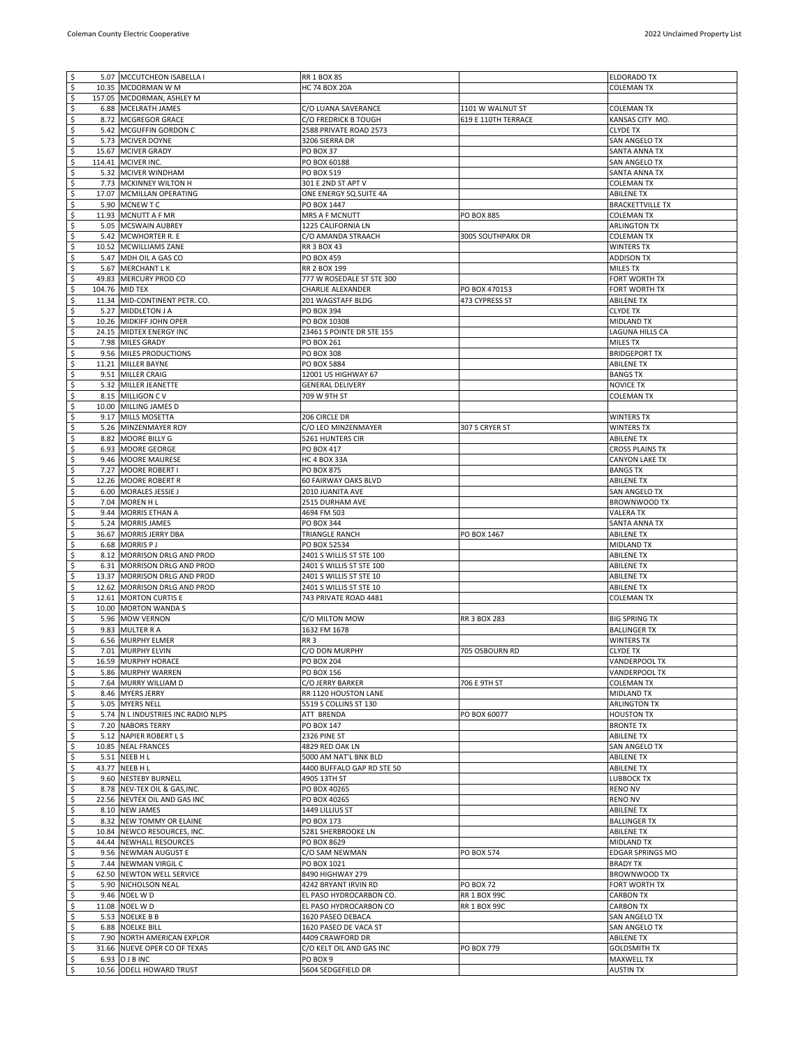| $\sqrt{5}$                |                                            |                                |                     |                                       |
|---------------------------|--------------------------------------------|--------------------------------|---------------------|---------------------------------------|
|                           | 5.07 MCCUTCHEON ISABELLA I                 | <b>RR 1 BOX 85</b>             |                     | <b>ELDORADO TX</b>                    |
| \$                        | 10.35 MCDORMAN W M                         | <b>HC 74 BOX 20A</b>           |                     | <b>COLEMAN TX</b>                     |
| \$                        | 157.05 MCDORMAN, ASHLEY M                  |                                |                     |                                       |
| \$                        | 6.88 MCELRATH JAMES                        | C/O LUANA SAVERANCE            | 1101 W WALNUT ST    | <b>COLEMAN TX</b>                     |
| \$                        | 8.72 MCGREGOR GRACE                        | C/O FREDRICK B TOUGH           | 619 E 110TH TERRACE | KANSAS CITY MO.                       |
| \$                        | 5.42 MCGUFFIN GORDON C                     | 2588 PRIVATE ROAD 2573         |                     | <b>CLYDE TX</b>                       |
| \$                        | 5.73 MCIVER DOYNE                          | 3206 SIERRA DR                 |                     | SAN ANGELO TX                         |
| \$                        | 15.67 MCIVER GRADY                         | PO BOX 37                      |                     | SANTA ANNA TX                         |
| \$                        | 114.41 MCIVER INC.                         | PO BOX 60188                   |                     | SAN ANGELO TX                         |
| \$                        | 5.32 MCIVER WINDHAM                        | PO BOX 519                     |                     | SANTA ANNA TX                         |
| \$                        | 7.73 MCKINNEY WILTON H                     | 301 E 2ND ST APT V             |                     | <b>COLEMAN TX</b>                     |
| \$                        | 17.07 MCMILLAN OPERATING                   | ONE ENERGY SQ.SUITE 4A         |                     | ABILENE TX                            |
| \$                        | 5.90 MCNEW TC                              | PO BOX 1447                    |                     | <b>BRACKETTVILLE TX</b>               |
| \$                        | 11.93 MCNUTT A F MR                        | MRS A F MCNUTT                 | PO BOX 885          | <b>COLEMAN TX</b>                     |
| \$                        | 5.05 MCSWAIN AUBREY                        | 1225 CALIFORNIA LN             |                     | <b>ARLINGTON TX</b>                   |
|                           |                                            |                                |                     |                                       |
| \$                        | 5.42 MCWHORTER R. E                        | C/O AMANDA STRAACH             | 3005 SOUTHPARK DR   | <b>COLEMAN TX</b>                     |
| \$                        | 10.52 MCWILLIAMS ZANE                      | RR 3 BOX 43                    |                     | <b>WINTERS TX</b>                     |
| \$                        | 5.47 MDH OIL A GAS CO                      | PO BOX 459                     |                     | <b>ADDISON TX</b>                     |
| \$                        | 5.67 MERCHANT LK                           | RR 2 BOX 199                   |                     | MILES TX                              |
| \$                        | 49.83 MERCURY PROD CO                      | 777 W ROSEDALE ST STE 300      |                     | FORT WORTH TX                         |
| \$                        | 104.76 MID TEX                             | CHARLIE ALEXANDER              | PO BOX 470153       | FORT WORTH TX                         |
| \$                        | 11.34 MID-CONTINENT PETR. CO.              | 201 WAGSTAFF BLDG              | 473 CYPRESS ST      | <b>ABILENE TX</b>                     |
| \$                        | 5.27 MIDDLETON J A                         | PO BOX 394                     |                     | <b>CLYDE TX</b>                       |
| \$                        | 10.26 MIDKIFF JOHN OPER                    | PO BOX 10308                   |                     | MIDLAND TX                            |
| \$                        | 24.15 MIDTEX ENERGY INC                    | 23461 S POINTE DR STE 155      |                     | LAGUNA HILLS CA                       |
| \$                        | 7.98 MILES GRADY                           | PO BOX 261                     |                     | <b>MILES TX</b>                       |
| \$                        | 9.56 MILES PRODUCTIONS                     | PO BOX 308                     |                     | <b>BRIDGEPORT TX</b>                  |
| \$                        | 11.21 MILLER BAYNE                         | PO BOX 5884                    |                     | <b>ABILENE TX</b>                     |
| \$                        | 9.51 MILLER CRAIG                          | 12001 US HIGHWAY 67            |                     | <b>BANGS TX</b>                       |
| \$                        | 5.32 MILLER JEANETTE                       | <b>GENERAL DELIVERY</b>        |                     | <b>NOVICE TX</b>                      |
| \$                        | 8.15 MILLIGON C V                          | 709 W 9TH ST                   |                     | <b>COLEMAN TX</b>                     |
| \$                        | 10.00 MILLING JAMES D                      |                                |                     |                                       |
| \$                        | 9.17 MILLS MOSETTA                         | 206 CIRCLE DR                  |                     | <b>WINTERS TX</b>                     |
| \$                        | 5.26 MINZENMAYER ROY                       | C/O LEO MINZENMAYER            | 307 S CRYER ST      | <b>WINTERS TX</b>                     |
| \$                        | 8.82 MOORE BILLY G                         | 5261 HUNTERS CIR               |                     | <b>ABILENE TX</b>                     |
| \$                        | 6.93 MOORE GEORGE                          | PO BOX 417                     |                     | <b>CROSS PLAINS TX</b>                |
| \$                        | 9.46 MOORE MAURESE                         | HC 4 BOX 33A                   |                     | <b>CANYON LAKE TX</b>                 |
| \$                        | 7.27 MOORE ROBERT I                        | PO BOX 875                     |                     | <b>BANGS TX</b>                       |
| \$                        | 12.26 MOORE ROBERT R                       | 60 FAIRWAY OAKS BLVD           |                     | <b>ABILENE TX</b>                     |
| \$                        | 6.00 MORALES JESSIE J                      | 2010 JUANITA AVE               |                     | SAN ANGELO TX                         |
|                           |                                            |                                |                     |                                       |
| \$                        | 7.04 MOREN H L                             | 2515 DURHAM AVE                |                     | <b>BROWNWOOD TX</b>                   |
| \$                        | 9.44 MORRIS ETHAN A                        | 4694 FM 503                    |                     | <b>VALERA TX</b>                      |
| \$                        | 5.24 MORRIS JAMES                          | PO BOX 344                     |                     | SANTA ANNA TX                         |
| \$                        | 36.67 MORRIS JERRY DBA                     | TRIANGLE RANCH                 | PO BOX 1467         | <b>ABILENE TX</b>                     |
|                           |                                            |                                |                     |                                       |
| \$                        | 6.68 MORRIS P J                            | PO BOX 52534                   |                     | <b>MIDLAND TX</b>                     |
| \$                        | 8.12 MORRISON DRLG AND PROD                | 2401 S WILLIS ST STE 100       |                     | <b>ABILENE TX</b>                     |
| \$                        | 6.31 MORRISON DRLG AND PROD                | 2401 S WILLIS ST STE 100       |                     | <b>ABILENE TX</b>                     |
| \$                        | 13.37 MORRISON DRLG AND PROD               | 2401 S WILLIS ST STE 10        |                     | <b>ABILENE TX</b>                     |
| \$                        | 12.62 MORRISON DRLG AND PROD               | 2401 S WILLIS ST STE 10        |                     | <b>ABILENE TX</b>                     |
| \$                        | 12.61 MORTON CURTIS E                      | 743 PRIVATE ROAD 4481          |                     | <b>COLEMAN TX</b>                     |
| \$                        | 10.00 MORTON WANDA S                       |                                |                     |                                       |
| \$                        | 5.96 MOW VERNON                            | C/O MILTON MOW                 | RR 3 BOX 283        | <b>BIG SPRING TX</b>                  |
| \$                        | 9.83 MULTER R A                            | 1632 FM 1678                   |                     | <b>BALLINGER TX</b>                   |
| \$                        | 6.56 MURPHY ELMER                          | RR 3                           |                     | <b>WINTERS TX</b>                     |
| \$                        | 7.01 MURPHY ELVIN                          | C/O DON MURPHY                 | 705 OSBOURN RD      | <b>CLYDE TX</b>                       |
| l \$                      | 16.59 MURPHY HORACE                        | <b>PO BOX 204</b>              |                     | VANDERPOOL TX                         |
| $\ddot{\mathsf{s}}$       | 5.86 MURPHY WARREN                         | PO BOX 156                     |                     | VANDERPOOL TX                         |
| \$                        | 7.64 MURRY WILLIAM D                       | C/O JERRY BARKER               | 706 E 9TH ST        | <b>COLEMAN TX</b>                     |
| \$                        | 8.46 MYERS JERRY                           | RR 1120 HOUSTON LANE           |                     | MIDLAND TX                            |
| \$                        | 5.05 MYERS NELL                            | 5519 S COLLINS ST 130          |                     | <b>ARLINGTON TX</b>                   |
| \$                        | 5.74 N L INDUSTRIES INC RADIO NLPS         | ATT BRENDA                     | PO BOX 60077        | <b>HOUSTON TX</b>                     |
| \$                        | 7.20 NABORS TERRY                          | PO BOX 147                     |                     | <b>BRONTE TX</b>                      |
| \$                        | 5.12 NAPIER ROBERT LS                      | 2326 PINE ST                   |                     | <b>ABILENE TX</b>                     |
| \$                        | 10.85 NEAL FRANCES                         | 4829 RED OAK LN                |                     | SAN ANGELO TX                         |
|                           |                                            | 5000 AM NAT'L BNK BLD          |                     | <b>ABILENE TX</b>                     |
| \$                        | 5.51 NEEB H L                              |                                |                     |                                       |
| \$                        | 43.77 NEEB H L                             | 4400 BUFFALO GAP RD STE 50     |                     | <b>ABILENE TX</b>                     |
| \$                        | 9.60 NESTEBY BURNELL                       | 4905 13TH ST<br>PO BOX 40265   |                     | <b>LUBBOCK TX</b><br><b>RENO NV</b>   |
| \$                        | 8.78 NEV-TEX OIL & GAS, INC.               |                                |                     |                                       |
| \$                        | 22.56 NEVTEX OIL AND GAS INC               | PO BOX 40265                   |                     | <b>RENO NV</b>                        |
| \$                        | 8.10 NEW JAMES                             | 1449 LILLIUS ST                |                     | <b>ABILENE TX</b>                     |
| \$                        | 8.32 NEW TOMMY OR ELAINE                   | PO BOX 173                     |                     | <b>BALLINGER TX</b>                   |
| \$                        | 10.84 NEWCO RESOURCES, INC.                | 5281 SHERBROOKE LN             |                     | <b>ABILENE TX</b>                     |
| \$                        | 44.44 NEWHALL RESOURCES                    | PO BOX 8629                    |                     | <b>MIDLAND TX</b>                     |
| \$                        | 9.56 NEWMAN AUGUST E                       | C/O SAM NEWMAN                 | PO BOX 574          | <b>EDGAR SPRINGS MO</b>               |
| \$                        | 7.44 NEWMAN VIRGIL C                       | PO BOX 1021                    |                     | <b>BRADY TX</b>                       |
| \$                        | 62.50 NEWTON WELL SERVICE                  | 8490 HIGHWAY 279               |                     | BROWNWOOD TX                          |
| \$                        | 5.90 NICHOLSON NEAL                        | 4242 BRYANT IRVIN RD           | <b>PO BOX 72</b>    | FORT WORTH TX                         |
| \$                        | 9.46 NOEL WD                               | EL PASO HYDROCARBON CO.        | <b>RR 1 BOX 99C</b> | <b>CARBON TX</b>                      |
| \$                        | 11.08 NOEL W D                             | EL PASO HYDROCARBON CO         | <b>RR 1 BOX 99C</b> | <b>CARBON TX</b>                      |
| \$                        | 5.53 NOELKE B B                            | 1620 PASEO DEBACA              |                     | SAN ANGELO TX                         |
| \$                        | 6.88 NOELKE BILL                           | 1620 PASEO DE VACA ST          |                     | SAN ANGELO TX                         |
| $\boldsymbol{\mathsf{S}}$ | 7.90 NORTH AMERICAN EXPLOR                 | 4409 CRAWFORD DR               |                     | <b>ABILENE TX</b>                     |
| \$                        | 31.66 NUEVE OPER CO OF TEXAS               | C/O KELT OIL AND GAS INC       | PO BOX 779          | <b>GOLDSMITH TX</b>                   |
| \$<br>$\ddot{\mathsf{S}}$ | 6.93 O J B INC<br>10.56 ODELL HOWARD TRUST | PO BOX 9<br>5604 SEDGEFIELD DR |                     | <b>MAXWELL TX</b><br><b>AUSTIN TX</b> |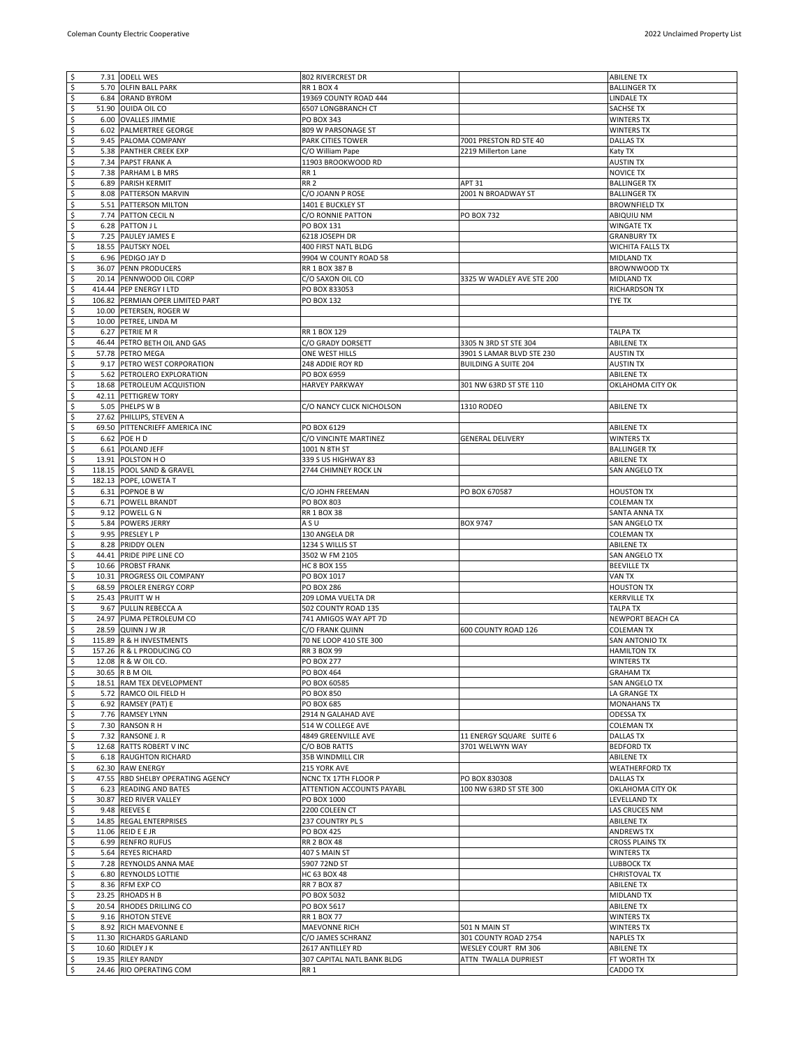| ऽ                         |      | 7.31 ODELL WES                    | 802 RIVERCREST DR          |                             | <b>ABILENE TX</b>       |
|---------------------------|------|-----------------------------------|----------------------------|-----------------------------|-------------------------|
| \$                        |      | 5.70 OLFIN BALL PARK              | <b>RR 1 BOX 4</b>          |                             | <b>BALLINGER TX</b>     |
| \$                        |      | 6.84 ORAND BYROM                  | 19369 COUNTY ROAD 444      |                             | <b>LINDALE TX</b>       |
| $\boldsymbol{\varsigma}$  |      | 51.90 OUIDA OIL CO                | 6507 LONGBRANCH CT         |                             | SACHSE TX               |
| \$                        |      | 6.00 OVALLES JIMMIE               | PO BOX 343                 |                             | <b>WINTERS TX</b>       |
| \$                        |      | 6.02 PALMERTREE GEORGE            | 809 W PARSONAGE ST         |                             | <b>WINTERS TX</b>       |
| $\ddot{\varsigma}$        |      | 9.45 PALOMA COMPANY               | PARK CITIES TOWER          | 7001 PRESTON RD STE 40      | <b>DALLAS TX</b>        |
| \$                        |      | 5.38 PANTHER CREEK EXP            | C/O William Pape           | 2219 Millerton Lane         | Katy TX                 |
| \$                        |      | 7.34 PAPST FRANK A                | 11903 BROOKWOOD RD         |                             | <b>AUSTIN TX</b>        |
| \$                        |      | 7.38 PARHAM L B MRS               | RR 1                       |                             | <b>NOVICE TX</b>        |
| \$                        |      | 6.89 PARISH KERMIT                | RR <sub>2</sub>            | <b>APT 31</b>               | <b>BALLINGER TX</b>     |
| \$                        |      | 8.08 PATTERSON MARVIN             | C/O JOANN P ROSE           | 2001 N BROADWAY ST          | <b>BALLINGER TX</b>     |
| $\overline{\varsigma}$    |      | 5.51 PATTERSON MILTON             | 1401 E BUCKLEY ST          |                             | <b>BROWNFIELD TX</b>    |
| \$                        |      | 7.74 PATTON CECIL N               | C/O RONNIE PATTON          | <b>PO BOX 732</b>           | ABIQUIU NM              |
| $\overline{\mathcal{S}}$  |      | 6.28 PATTON J L                   | PO BOX 131                 |                             | <b>WINGATE TX</b>       |
| \$                        |      | 7.25 PAULEY JAMES E               | 6218 JOSEPH DR             |                             | <b>GRANBURY TX</b>      |
| $\ddot{\mathsf{s}}$       |      | 18.55 PAUTSKY NOEL                | 400 FIRST NATL BLDG        |                             | <b>WICHITA FALLS TX</b> |
| $\overline{\mathcal{S}}$  |      | 6.96 PEDIGO JAY D                 | 9904 W COUNTY ROAD 58      |                             | MIDLAND TX              |
| $\overline{\varsigma}$    |      | 36.07 PENN PRODUCERS              | RR 1 BOX 387 B             |                             | BROWNWOOD TX            |
| \$                        |      | 20.14 PENNWOOD OIL CORP           | C/O SAXON OIL CO           | 3325 W WADLEY AVE STE 200   | MIDLAND TX              |
| \$                        |      | 414.44 PEP ENERGY I LTD           | PO BOX 833053              |                             | RICHARDSON TX           |
| $\overline{\varsigma}$    |      | 106.82 PERMIAN OPER LIMITED PART  | PO BOX 132                 |                             | TYE TX                  |
| $\boldsymbol{\mathsf{S}}$ |      | 10.00 PETERSEN, ROGER W           |                            |                             |                         |
| $\varsigma$               |      | 10.00 PETREE, LINDA M             |                            |                             |                         |
| \$                        |      | 6.27 PETRIE M R                   | RR 1 BOX 129               |                             | <b>TALPA TX</b>         |
| $\boldsymbol{\varsigma}$  |      | 46.44 PETRO BETH OIL AND GAS      | C/O GRADY DORSETT          | 3305 N 3RD ST STE 304       | <b>ABILENE TX</b>       |
| \$                        |      | 57.78 PETRO MEGA                  | ONE WEST HILLS             | 3901 S LAMAR BLVD STE 230   | <b>AUSTIN TX</b>        |
| \$                        |      | 9.17 PETRO WEST CORPORATION       | 248 ADDIE ROY RD           | <b>BUILDING A SUITE 204</b> | <b>AUSTIN TX</b>        |
| $\boldsymbol{\varsigma}$  |      | 5.62 PETROLERO EXPLORATION        | PO BOX 6959                |                             | <b>ABILENE TX</b>       |
| \$                        |      | 18.68 PETROLEUM ACQUISTION        | <b>HARVEY PARKWAY</b>      | 301 NW 63RD ST STE 110      | OKLAHOMA CITY OK        |
| \$                        |      | 42.11 PETTIGREW TORY              |                            |                             |                         |
| $\ddot{\varsigma}$        |      | 5.05 PHELPS W B                   | C/O NANCY CLICK NICHOLSON  | 1310 RODEO                  | <b>ABILENE TX</b>       |
| $\overline{\varsigma}$    |      | 27.62 PHILLIPS, STEVEN A          |                            |                             |                         |
| \$                        |      | 69.50 PITTENCRIEFF AMERICA INC    | PO BOX 6129                |                             | <b>ABILENE TX</b>       |
| \$                        |      | 6.62 POE H D                      | C/O VINCINTE MARTINEZ      | <b>GENERAL DELIVERY</b>     | <b>WINTERS TX</b>       |
| \$                        |      | 6.61 POLAND JEFF                  | 1001 N 8TH ST              |                             | <b>BALLINGER TX</b>     |
| \$                        |      | 13.91 POLSTON HO                  | 339 S US HIGHWAY 83        |                             | <b>ABILENE TX</b>       |
| $\varsigma$               |      | 118.15 POOL SAND & GRAVEL         | 2744 CHIMNEY ROCK LN       |                             | SAN ANGELO TX           |
| \$                        |      | 182.13 POPE, LOWETA T             |                            |                             |                         |
| \$                        |      | 6.31 POPNOE B W                   | C/O JOHN FREEMAN           | PO BOX 670587               | <b>HOUSTON TX</b>       |
| \$                        |      | 6.71 POWELL BRANDT                | PO BOX 803                 |                             | <b>COLEMAN TX</b>       |
| \$                        |      | 9.12 POWELL G N                   | RR 1 BOX 38                |                             | SANTA ANNA TX           |
| $\overline{\mathcal{S}}$  |      | 5.84 POWERS JERRY                 | ASU                        | <b>BOX 9747</b>             | SAN ANGELO TX           |
| $\overline{\mathsf{S}}$   |      | 9.95 PRESLEY L P                  | 130 ANGELA DR              |                             | <b>COLEMAN TX</b>       |
| \$                        |      | 8.28 PRIDDY OLEN                  | 1234 S WILLIS ST           |                             | <b>ABILENE TX</b>       |
| \$                        |      | 44.41 PRIDE PIPE LINE CO          | 3502 W FM 2105             |                             | SAN ANGELO TX           |
| $\overline{\mathsf{S}}$   |      | 10.66 PROBST FRANK                | <b>HC 8 BOX 155</b>        |                             | <b>BEEVILLE TX</b>      |
| \$                        |      | 10.31 PROGRESS OIL COMPANY        | PO BOX 1017                |                             | VAN TX                  |
| \$                        |      | 68.59 PROLER ENERGY CORP          | <b>PO BOX 286</b>          |                             | <b>HOUSTON TX</b>       |
| \$                        |      | 25.43 PRUITT W H                  | 209 LOMA VUELTA DR         |                             | <b>KERRVILLE TX</b>     |
| \$                        | 9.67 | PULLIN REBECCA A                  | 502 COUNTY ROAD 135        |                             | <b>TALPA TX</b>         |
| \$                        |      | 24.97 PUMA PETROLEUM CO           | 741 AMIGOS WAY APT 7D      |                             | NEWPORT BEACH CA        |
| \$                        |      | 28.59 QUINN J W JR                | C/O FRANK QUINN            | 600 COUNTY ROAD 126         | <b>COLEMAN TX</b>       |
| $\ddot{\mathsf{s}}$       |      | 115.89 R & H INVESTMENTS          | 70 NE LOOP 410 STE 300     |                             | SAN ANTONIO TX          |
| \$                        |      | 157.26 R & L PRODUCING CO         | <b>RR 3 BOX 99</b>         |                             | <b>HAMILTON TX</b>      |
| l \$                      |      | 12.08 R & W OIL CO.               | PO BOX 277                 |                             | <b>WINTERS TX</b>       |
| l\$                       |      | 30.65 R B M OIL                   | PO BOX 464                 |                             | <b>GRAHAM TX</b>        |
| $\ddot{\mathsf{s}}$       |      | 18.51 RAM TEX DEVELOPMENT         | PO BOX 60585               |                             | SAN ANGELO TX           |
| \$                        |      | 5.72 RAMCO OIL FIELD H            | PO BOX 850                 |                             | LA GRANGE TX            |
| \$                        |      | 6.92 RAMSEY (PAT) E               | PO BOX 685                 |                             | <b>MONAHANS TX</b>      |
| \$                        |      | 7.76 RAMSEY LYNN                  | 2914 N GALAHAD AVE         |                             | <b>ODESSA TX</b>        |
| \$                        |      | 7.30 RANSON R H                   | 514 W COLLEGE AVE          |                             | <b>COLEMAN TX</b>       |
| \$                        |      | 7.32 RANSONE J. R                 | 4849 GREENVILLE AVE        | 11 ENERGY SQUARE SUITE 6    | <b>DALLAS TX</b>        |
| \$                        |      | 12.68 RATTS ROBERT V INC          | C/O BOB RATTS              | 3701 WELWYN WAY             | <b>BEDFORD TX</b>       |
| \$                        |      | 6.18 RAUGHTON RICHARD             | 35B WINDMILL CIR           |                             | <b>ABILENE TX</b>       |
| \$                        |      | 62.30 RAW ENERGY                  | 215 YORK AVE               |                             | <b>WEATHERFORD TX</b>   |
| \$                        |      | 47.55 RBD SHELBY OPERATING AGENCY | NCNC TX 17TH FLOOR P       | PO BOX 830308               | <b>DALLAS TX</b>        |
| $\ddot{\mathsf{s}}$       |      | 6.23 READING AND BATES            | ATTENTION ACCOUNTS PAYABL  | 100 NW 63RD ST STE 300      | OKLAHOMA CITY OK        |
| \$                        |      | 30.87 RED RIVER VALLEY            | PO BOX 1000                |                             | LEVELLAND TX            |
| $\ddot{\mathsf{s}}$       |      | 9.48 REEVES E                     | 2200 COLEEN CT             |                             | LAS CRUCES NM           |
| \$                        |      | 14.85 REGAL ENTERPRISES           | 237 COUNTRY PL S           |                             | <b>ABILENE TX</b>       |
| \$                        |      | 11.06 REID E E JR                 | PO BOX 425                 |                             | <b>ANDREWS TX</b>       |
| \$                        |      | 6.99 RENFRO RUFUS                 | <b>RR 2 BOX 48</b>         |                             | <b>CROSS PLAINS TX</b>  |
| \$                        |      | 5.64 REYES RICHARD                | 407 S MAIN ST              |                             | WINTERS TX              |
| \$                        |      | 7.28 REYNOLDS ANNA MAE            | 5907 72ND ST               |                             | LUBBOCK TX              |
| $\ddot{\mathsf{s}}$       |      | 6.80 REYNOLDS LOTTIE              | HC 63 BOX 48               |                             | <b>CHRISTOVAL TX</b>    |
| \$                        |      | 8.36 RFM EXP CO                   | <b>RR 7 BOX 87</b>         |                             | <b>ABILENE TX</b>       |
| \$                        |      | 23.25 RHOADS H B                  | PO BOX 5032                |                             | MIDLAND TX              |
| $\ddot{\mathsf{s}}$       |      | 20.54 RHODES DRILLING CO          | PO BOX 5617                |                             | <b>ABILENE TX</b>       |
| \$                        |      | 9.16 RHOTON STEVE                 | RR 1 BOX 77                |                             | <b>WINTERS TX</b>       |
| \$                        |      | 8.92 RICH MAEVONNE E              | MAEVONNE RICH              | 501 N MAIN ST               | <b>WINTERS TX</b>       |
| \$                        |      | 11.30 RICHARDS GARLAND            | C/O JAMES SCHRANZ          | 301 COUNTY ROAD 2754        | <b>NAPLES TX</b>        |
| \$                        |      | 10.60 RIDLEY J K                  | 2617 ANTILLEY RD           | WESLEY COURT RM 306         | <b>ABILENE TX</b>       |
| \$                        |      | 19.35 RILEY RANDY                 | 307 CAPITAL NATL BANK BLDG | ATTN TWALLA DUPRIEST        | FT WORTH TX             |
|                           |      | 24.46 RIO OPERATING COM           | RR 1                       |                             | CADDO TX                |
| $\ddot{\mathsf{s}}$       |      |                                   |                            |                             |                         |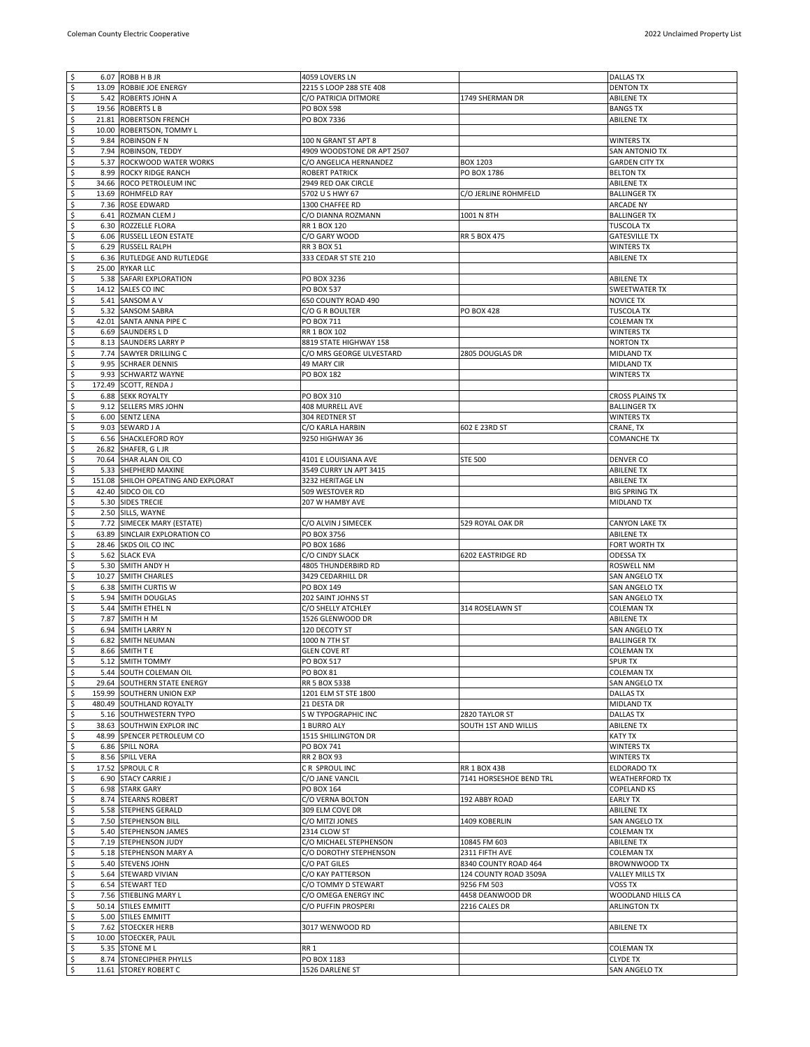| l\$                       |       | 6.07 ROBB H B JR                    | 4059 LOVERS LN             |                         | <b>DALLAS TX</b>       |
|---------------------------|-------|-------------------------------------|----------------------------|-------------------------|------------------------|
| $\overline{\mathbf{5}}$   |       | 13.09 ROBBIE JOE ENERGY             | 2215 S LOOP 288 STE 408    |                         | <b>DENTON TX</b>       |
| $\overline{\mathcal{S}}$  |       | 5.42 ROBERTS JOHN A                 | C/O PATRICIA DITMORE       | 1749 SHERMAN DR         | <b>ABILENE TX</b>      |
| $\varsigma$               |       | 19.56 ROBERTS L B                   | PO BOX 598                 |                         | <b>BANGS TX</b>        |
| \$                        |       | 21.81 ROBERTSON FRENCH              | PO BOX 7336                |                         | <b>ABILENE TX</b>      |
| $\boldsymbol{\varsigma}$  | 10.00 | ROBERTSON, TOMMY L                  |                            |                         |                        |
| \$                        |       | 9.84 ROBINSON F N                   | 100 N GRANT ST APT 8       |                         | WINTERS TX             |
| \$                        |       | 7.94 ROBINSON, TEDDY                | 4909 WOODSTONE DR APT 2507 |                         | SAN ANTONIO TX         |
| $\boldsymbol{\varsigma}$  | 5.37  | ROCKWOOD WATER WORKS                | C/O ANGELICA HERNANDEZ     | BOX 1203                | <b>GARDEN CITY TX</b>  |
| $\overline{\mathsf{S}}$   |       | 8.99 ROCKY RIDGE RANCH              | ROBERT PATRICK             | PO BOX 1786             | <b>BELTON TX</b>       |
| \$                        |       | 34.66 ROCO PETROLEUM INC            | 2949 RED OAK CIRCLE        |                         | <b>ABILENE TX</b>      |
| $\ddot{\varsigma}$        |       | 13.69 ROHMFELD RAY                  | 5702 U S HWY 67            | C/O JERLINE ROHMFELD    | <b>BALLINGER TX</b>    |
| $\overline{\mathsf{S}}$   |       | 7.36 ROSE EDWARD                    | 1300 CHAFFEE RD            |                         | ARCADE NY              |
| \$                        |       | 6.41 ROZMAN CLEM J                  | C/O DIANNA ROZMANN         | 1001 N 8TH              | <b>BALLINGER TX</b>    |
| $\varsigma$               |       | 6.30 ROZZELLE FLORA                 | RR 1 BOX 120               |                         | <b>TUSCOLA TX</b>      |
| \$                        |       | 6.06 RUSSELL LEON ESTATE            | C/O GARY WOOD              | <b>RR 5 BOX 475</b>     | <b>GATESVILLE TX</b>   |
| $\overline{\mathcal{S}}$  |       | 6.29 RUSSELL RALPH                  | RR 3 BOX 51                |                         | <b>WINTERS TX</b>      |
| $\varsigma$               |       | 6.36 RUTLEDGE AND RUTLEDGE          | 333 CEDAR ST STE 210       |                         | <b>ABILENE TX</b>      |
| $\ddot{\mathsf{s}}$       |       | 25.00 RYKAR LLC                     |                            |                         |                        |
| $\overline{\mathcal{S}}$  |       | 5.38 SAFARI EXPLORATION             | PO BOX 3236                |                         | <b>ABILENE TX</b>      |
| \$                        |       | 14.12 SALES CO INC                  | PO BOX 537                 |                         | SWEETWATER TX          |
| $\ddot{\mathsf{s}}$       |       | 5.41 SANSOM A V                     | 650 COUNTY ROAD 490        |                         | <b>NOVICE TX</b>       |
| \$                        |       | 5.32 SANSOM SABRA                   | C/O G R BOULTER            | <b>PO BOX 428</b>       | <b>TUSCOLA TX</b>      |
| $\overline{\mathsf{S}}$   |       | 42.01 SANTA ANNA PIPE C             | PO BOX 711                 |                         | <b>COLEMAN TX</b>      |
| \$                        |       | 6.69 SAUNDERS LD                    | RR 1 BOX 102               |                         | <b>WINTERS TX</b>      |
| $\varsigma$               |       | 8.13 SAUNDERS LARRY P               | 8819 STATE HIGHWAY 158     |                         | <b>NORTON TX</b>       |
| $\varsigma$               |       | 7.74 SAWYER DRILLING C              | C/O MRS GEORGE ULVESTARD   | 2805 DOUGLAS DR         | MIDLAND TX             |
| $\ddot{\mathsf{s}}$       |       | 9.95 SCHRAER DENNIS                 | 49 MARY CIR                |                         | MIDLAND TX             |
| $\varsigma$               |       | 9.93 SCHWARTZ WAYNE                 | PO BOX 182                 |                         | <b>WINTERS TX</b>      |
| \$                        |       | 172.49 SCOTT, RENDA J               |                            |                         |                        |
| $\boldsymbol{\varsigma}$  |       | <b>6.88 SEKK ROYALTY</b>            | PO BOX 310                 |                         | <b>CROSS PLAINS TX</b> |
| \$                        |       | 9.12 SELLERS MRS JOHN               | 408 MURRELL AVE            |                         | <b>BALLINGER TX</b>    |
| \$                        |       | 6.00 SENTZ LENA                     | 304 REDTNER ST             |                         | <b>WINTERS TX</b>      |
| $\boldsymbol{\varsigma}$  |       | 9.03 SEWARD J A                     | C/O KARLA HARBIN           | 602 E 23RD ST           | CRANE, TX              |
| $\overline{\mathsf{S}}$   |       | 6.56 SHACKLEFORD ROY                | 9250 HIGHWAY 36            |                         | <b>COMANCHE TX</b>     |
| \$                        |       | 26.82 SHAFER, G L JR                |                            |                         |                        |
| $\ddot{\varsigma}$        |       | 70.64 SHAR ALAN OIL CO              | 4101 E LOUISIANA AVE       | <b>STE 500</b>          | <b>DENVER CO</b>       |
| $\overline{\mathsf{S}}$   |       | 5.33 SHEPHERD MAXINE                | 3549 CURRY LN APT 3415     |                         | <b>ABILENE TX</b>      |
| \$                        |       | 151.08 SHILOH OPEATING AND EXPLORAT | 3232 HERITAGE LN           |                         | <b>ABILENE TX</b>      |
| $\overline{\mathsf{S}}$   |       | 42.40 SIDCO OIL CO                  | 509 WESTOVER RD            |                         | <b>BIG SPRING TX</b>   |
| \$                        |       | 5.30 SIDES TRECIE                   | 207 W HAMBY AVE            |                         | MIDLAND TX             |
| $\overline{\mathcal{S}}$  |       | 2.50 SILLS, WAYNE                   |                            |                         |                        |
| $\varsigma$               |       | 7.72 SIMECEK MARY (ESTATE)          | C/O ALVIN J SIMECEK        | 529 ROYAL OAK DR        | CANYON LAKE TX         |
| $\ddot{\mathsf{s}}$       |       | 63.89 SINCLAIR EXPLORATION CO       | PO BOX 3756                |                         | <b>ABILENE TX</b>      |
| \$                        |       | 28.46 SKDS OIL CO INC               | PO BOX 1686                |                         | FORT WORTH TX          |
| \$                        |       | 5.62 SLACK EVA                      | C/O CINDY SLACK            | 6202 EASTRIDGE RD       | ODESSA TX              |
| \$                        |       | 5.30 SMITH ANDY H                   | 4805 THUNDERBIRD RD        |                         | ROSWELL NM             |
| \$                        |       | 10.27 SMITH CHARLES                 | 3429 CEDARHILL DR          |                         | SAN ANGELO TX          |
| $\varsigma$               |       | 6.38 SMITH CURTIS W                 | PO BOX 149                 |                         | SAN ANGELO TX          |
| \$                        |       | 5.94 SMITH DOUGLAS                  | 202 SAINT JOHNS ST         |                         | SAN ANGELO TX          |
| $\varsigma$               |       | 5.44 SMITH ETHEL N                  | C/O SHELLY ATCHLEY         | 314 ROSELAWN ST         | <b>COLEMAN TX</b>      |
| $\varsigma$               |       | 7.87 SMITH H M                      | 1526 GLENWOOD DR           |                         | <b>ABILENE TX</b>      |
| $\ddot{\mathsf{s}}$       |       | 6.94 SMITH LARRY N                  | 120 DECOTY ST              |                         | SAN ANGELO TX          |
| \$                        |       | 6.82 SMITH NEUMAN                   | 1000 N 7TH ST              |                         | <b>BALLINGER TX</b>    |
| \$                        |       | 8.66 SMITH T E                      | <b>GLEN COVE RT</b>        |                         | <b>COLEMAN TX</b>      |
|                           |       | 5.12 SMITH TOMMY                    | PO BOX 517                 |                         | SPUR TX                |
| l \$                      |       | 5.44 SOUTH COLEMAN OIL              | PO BOX 81                  |                         | <b>COLEMAN TX</b>      |
| $\frac{1}{2}$             |       | 29.64 SOUTHERN STATE ENERGY         | RR 5 BOX 5338              |                         | SAN ANGELO TX          |
| $\sqrt{5}$                |       | 159.99 SOUTHERN UNION EXP           | 1201 ELM ST STE 1800       |                         | <b>DALLAS TX</b>       |
| $\ddot{\mathsf{s}}$       |       | 480.49 SOUTHLAND ROYALTY            | 21 DESTA DR                |                         | MIDLAND TX             |
| $\ddot{\mathsf{s}}$       |       | 5.16 SOUTHWESTERN TYPO              | S W TYPOGRAPHIC INC        | 2820 TAYLOR ST          | <b>DALLAS TX</b>       |
| $\overline{\mathbf{5}}$   |       | 38.63 SOUTHWIN EXPLOR INC           | 1 BURRO ALY                | SOUTH 1ST AND WILLIS    | <b>ABILENE TX</b>      |
| $\ddot{\mathsf{s}}$       |       | 48.99 SPENCER PETROLEUM CO          | 1515 SHILLINGTON DR        |                         | KATY TX                |
| \$                        |       | 6.86 SPILL NORA                     | PO BOX 741                 |                         | WINTERS TX             |
| \$                        |       | 8.56 SPILL VERA                     | RR 2 BOX 93                |                         | WINTERS TX             |
| $\ddot{\mathsf{s}}$       |       | 17.52 SPROUL CR                     | CR SPROUL INC              | <b>RR 1 BOX 43B</b>     | <b>ELDORADO TX</b>     |
| $\boldsymbol{\mathsf{S}}$ |       | 6.90 STACY CARRIE J                 | C/O JANE VANCIL            | 7141 HORSESHOE BEND TRL | <b>WEATHERFORD TX</b>  |
| \$                        |       | 6.98 STARK GARY                     | PO BOX 164                 |                         | <b>COPELAND KS</b>     |
| $\ddot{\mathsf{s}}$       |       | 8.74 STEARNS ROBERT                 | C/O VERNA BOLTON           | 192 ABBY ROAD           | <b>EARLY TX</b>        |
| \$                        |       | 5.58 STEPHENS GERALD                | 309 ELM COVE DR            |                         | <b>ABILENE TX</b>      |
| \$                        |       | 7.50 STEPHENSON BILL                | C/O MITZI JONES            | 1409 KOBERLIN           | SAN ANGELO TX          |
| $\ddot{\mathsf{s}}$       |       | 5.40 STEPHENSON JAMES               | 2314 CLOW ST               |                         | <b>COLEMAN TX</b>      |
| $\overline{\mathbf{5}}$   |       | 7.19 STEPHENSON JUDY                | C/O MICHAEL STEPHENSON     | 10845 FM 603            | <b>ABILENE TX</b>      |
| $\overline{\mathcal{S}}$  |       | 5.18 STEPHENSON MARY A              | C/O DOROTHY STEPHENSON     | 2311 FIFTH AVE          | <b>COLEMAN TX</b>      |
| \$                        |       | 5.40 STEVENS JOHN                   | C/O PAT GILES              | 8340 COUNTY ROAD 464    | BROWNWOOD TX           |
| $\overline{\mathcal{S}}$  |       | 5.64 STEWARD VIVIAN                 | C/O KAY PATTERSON          | 124 COUNTY ROAD 3509A   | <b>VALLEY MILLS TX</b> |
| \$                        |       | 6.54 STEWART TED                    | C/O TOMMY D STEWART        | 9256 FM 503             | VOSS TX                |
| $\ddot{\mathsf{s}}$       |       | 7.56 STIEBLING MARY L               | C/O OMEGA ENERGY INC       | 4458 DEANWOOD DR        | WOODLAND HILLS CA      |
| \$                        |       | 50.14 STILES EMMITT                 | C/O PUFFIN PROSPERI        | 2216 CALES DR           | <b>ARLINGTON TX</b>    |
| \$                        |       | 5.00 STILES EMMITT                  |                            |                         |                        |
| $\ddot{\mathsf{s}}$       |       | 7.62 STOECKER HERB                  | 3017 WENWOOD RD            |                         | <b>ABILENE TX</b>      |
| \$                        |       | 10.00 STOECKER, PAUL                |                            |                         |                        |
| \$                        |       | 5.35 STONE M L                      | RR 1                       |                         | <b>COLEMAN TX</b>      |
| 5                         |       | 8.74 STONECIPHER PHYLLS             | PO BOX 1183                |                         | <b>CLYDE TX</b>        |
| 5                         |       | 11.61 STOREY ROBERT C               | 1526 DARLENE ST            |                         | SAN ANGELO TX          |
|                           |       |                                     |                            |                         |                        |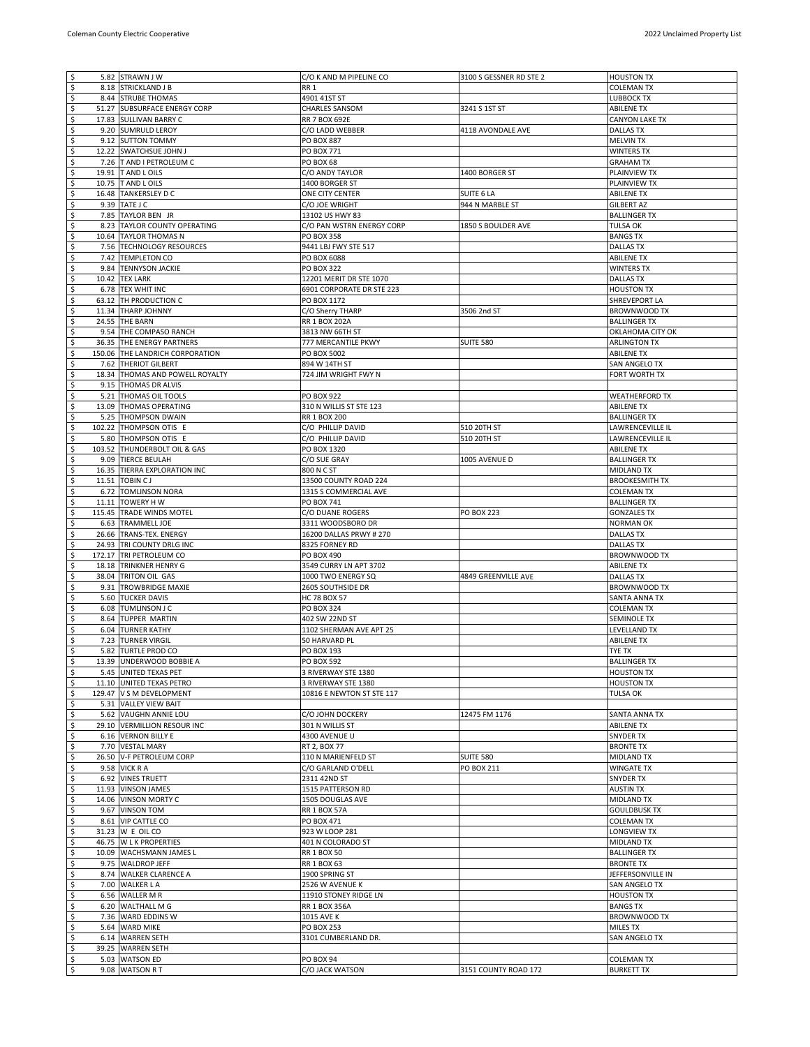| $\ddot{\mathsf{s}}$            | 5.82 STRAWN J W                 | C/O K AND M PIPELINE CO   | 3100 S GESSNER RD STE 2 | <b>HOUSTON TX</b>     |
|--------------------------------|---------------------------------|---------------------------|-------------------------|-----------------------|
| $\sqrt{2}$                     | 8.18 STRICKLAND J B             | RR <sub>1</sub>           |                         | <b>COLEMAN TX</b>     |
| \$                             | 8.44 STRUBE THOMAS              | 4901 41ST ST              |                         | LUBBOCK TX            |
| \$                             | 51.27 SUBSURFACE ENERGY CORP    | <b>CHARLES SANSOM</b>     | 3241 S 1ST ST           | <b>ABILENE TX</b>     |
| \$                             | 17.83 SULLIVAN BARRY C          | <b>RR 7 BOX 692E</b>      |                         | <b>CANYON LAKE TX</b> |
| \$                             | 9.20 SUMRULD LEROY              | C/O LADD WEBBER           | 4118 AVONDALE AVE       | <b>DALLAS TX</b>      |
| \$                             | 9.12 SUTTON TOMMY               | PO BOX 887                |                         | <b>MELVIN TX</b>      |
| \$                             | 12.22 SWATCHSUE JOHN J          | PO BOX 771                |                         | <b>WINTERS TX</b>     |
| \$                             | 7.26 T AND I PETROLEUM C        | <b>PO BOX 68</b>          |                         | <b>GRAHAM TX</b>      |
| $\overline{\mathsf{S}}$        | 19.91 T AND L OILS              | C/O ANDY TAYLOR           | 1400 BORGER ST          | PLAINVIEW TX          |
| \$                             | 10.75 T AND L OILS              | 1400 BORGER ST            |                         | PLAINVIEW TX          |
| \$                             | 16.48 TANKERSLEY D C            | ONE CITY CENTER           | SUITE 6 LA              | <b>ABILENE TX</b>     |
| $\overline{\mathsf{S}}$        | 9.39 TATE J C                   | C/O JOE WRIGHT            | 944 N MARBLE ST         | <b>GILBERT AZ</b>     |
| \$                             | 7.85 TAYLOR BEN JR              | 13102 US HWY 83           |                         | <b>BALLINGER TX</b>   |
| \$                             | 8.23 TAYLOR COUNTY OPERATING    | C/O PAN WSTRN ENERGY CORP | 1850 S BOULDER AVE      | <b>TULSA OK</b>       |
| \$                             | 10.64 TAYLOR THOMAS N           | PO BOX 358                |                         | <b>BANGS TX</b>       |
| $\varsigma$                    | 7.56 TECHNOLOGY RESOURCES       | 9441 LBJ FWY STE 517      |                         | <b>DALLAS TX</b>      |
| \$                             | 7.42 TEMPLETON CO               | PO BOX 6088               |                         | <b>ABILENE TX</b>     |
|                                |                                 |                           |                         |                       |
| \$<br>$\overline{\mathcal{S}}$ | 9.84 TENNYSON JACKIE            | PO BOX 322                |                         | <b>WINTERS TX</b>     |
|                                | 10.42 TEX LARK                  | 12201 MERIT DR STE 1070   |                         | <b>DALLAS TX</b>      |
| \$                             | 6.78 TEX WHIT INC               | 6901 CORPORATE DR STE 223 |                         | <b>HOUSTON TX</b>     |
| \$                             | 63.12 TH PRODUCTION C           | PO BOX 1172               |                         | SHREVEPORT LA         |
| \$                             | 11.34 THARP JOHNNY              | C/O Sherry THARP          | 3506 2nd ST             | BROWNWOOD TX          |
| \$                             | 24.55 THE BARN                  | <b>RR 1 BOX 202A</b>      |                         | <b>BALLINGER TX</b>   |
| \$                             | 9.54 THE COMPASO RANCH          | 3813 NW 66TH ST           |                         | OKLAHOMA CITY OK      |
| $\overline{\mathsf{S}}$        | 36.35 THE ENERGY PARTNERS       | 777 MERCANTILE PKWY       | <b>SUITE 580</b>        | ARLINGTON TX          |
| \$                             | 150.06 THE LANDRICH CORPORATION | PO BOX 5002               |                         | <b>ABILENE TX</b>     |
| \$                             | 7.62 THERIOT GILBERT            | 894 W 14TH ST             |                         | <b>SAN ANGELO TX</b>  |
| $\overline{\mathcal{S}}$       | 18.34 THOMAS AND POWELL ROYALTY | 724 JIM WRIGHT FWY N      |                         | FORT WORTH TX         |
| \$                             | 9.15 THOMAS DR ALVIS            |                           |                         |                       |
| \$                             | 5.21 THOMAS OIL TOOLS           | <b>PO BOX 922</b>         |                         | <b>WEATHERFORD TX</b> |
| \$                             | 13.09 THOMAS OPERATING          | 310 N WILLIS ST STE 123   |                         | <b>ABILENE TX</b>     |
| \$                             | 5.25 THOMPSON DWAIN             | RR 1 BOX 200              |                         | <b>BALLINGER TX</b>   |
| $\overline{\mathcal{S}}$       | 102.22 THOMPSON OTIS E          | C/O PHILLIP DAVID         | 510 20TH ST             | LAWRENCEVILLE IL      |
| $\overline{\mathsf{S}}$        | 5.80 THOMPSON OTIS E            | C/O PHILLIP DAVID         | 510 20TH ST             | LAWRENCEVILLE IL      |
| \$                             | 103.52 THUNDERBOLT OIL & GAS    | PO BOX 1320               |                         | <b>ABILENE TX</b>     |
| \$                             | 9.09 TIERCE BEULAH              | C/O SUE GRAY              | 1005 AVENUE D           | <b>BALLINGER TX</b>   |
| $\overline{\mathsf{S}}$        | 16.35 TIERRA EXPLORATION INC    | 800 N C ST                |                         | MIDLAND TX            |
| \$                             | 11.51 TOBIN CJ                  | 13500 COUNTY ROAD 224     |                         | <b>BROOKESMITH TX</b> |
| \$                             | 6.72 TOMLINSON NORA             | 1315 S COMMERCIAL AVE     |                         | <b>COLEMAN TX</b>     |
| \$                             | 11.11 TOWERY H W                | PO BOX 741                |                         | <b>BALLINGER TX</b>   |
| \$                             | 115.45 TRADE WINDS MOTEL        | C/O DUANE ROGERS          | PO BOX 223              | <b>GONZALES TX</b>    |
| \$                             | 6.63 TRAMMELL JOE               | 3311 WOODSBORO DR         |                         | <b>NORMAN OK</b>      |
|                                |                                 |                           |                         |                       |
| \$                             | 26.66 TRANS-TEX. ENERGY         | 16200 DALLAS PRWY # 270   |                         | <b>DALLAS TX</b>      |
| \$                             | 24.93 TRI COUNTY DRLG INC       | 8325 FORNEY RD            |                         | <b>DALLAS TX</b>      |
| \$                             | 172.17 TRI PETROLEUM CO         | PO BOX 490                |                         | <b>BROWNWOOD TX</b>   |
| \$                             | 18.18 TRINKNER HENRY G          | 3549 CURRY LN APT 3702    |                         | <b>ABILENE TX</b>     |
| \$                             | 38.04 TRITON OIL GAS            | 1000 TWO ENERGY SQ        | 4849 GREENVILLE AVE     | <b>DALLAS TX</b>      |
| \$                             | 9.31 TROWBRIDGE MAXIE           | 2605 SOUTHSIDE DR         |                         | BROWNWOOD TX          |
| \$                             | 5.60 TUCKER DAVIS               | <b>HC 78 BOX 57</b>       |                         | SANTA ANNA TX         |
| \$                             | 6.08 TUMLINSON J C              | PO BOX 324                |                         | <b>COLEMAN TX</b>     |
| \$                             | 8.64 TUPPER MARTIN              | 402 SW 22ND ST            |                         | <b>SEMINOLE TX</b>    |
| \$                             | 6.04 TURNER KATHY               | 1102 SHERMAN AVE APT 25   |                         | LEVELLAND TX          |
| \$                             | 7.23 TURNER VIRGIL              | 50 HARVARD PL             |                         | <b>ABILENE TX</b>     |
| \$                             | 5.82 TURTLE PROD CO             | PO BOX 193                |                         | TYE TX                |
| s.                             | 13.39 UNDERWOOD BOBBIE A        | <b>PO BOX 592</b>         |                         | <b>BALLINGER TX</b>   |
| $\ddot{\mathsf{s}}$            | 5.45 UNITED TEXAS PET           | 3 RIVERWAY STE 1380       |                         | <b>HOUSTON TX</b>     |
| l\$                            | 11.10 UNITED TEXAS PETRO        | 3 RIVERWAY STE 1380       |                         | <b>HOUSTON TX</b>     |
| \$                             | 129.47 V S M DEVELOPMENT        | 10816 E NEWTON ST STE 117 |                         | <b>TULSA OK</b>       |
| $\overline{\mathcal{S}}$       | 5.31 VALLEY VIEW BAIT           |                           |                         |                       |
| \$                             | 5.62 VAUGHN ANNIE LOU           | C/O JOHN DOCKERY          | 12475 FM 1176           | SANTA ANNA TX         |
| \$                             | 29.10 VERMILLION RESOUR INC     | 301 N WILLIS ST           |                         | <b>ABILENE TX</b>     |
| $\overline{\mathsf{S}}$        | 6.16 VERNON BILLY E             | 4300 AVENUE U             |                         | <b>SNYDER TX</b>      |
| \$                             | 7.70 VESTAL MARY                | RT 2, BOX 77              |                         | <b>BRONTE TX</b>      |
| \$                             | 26.50 V-F PETROLEUM CORP        | 110 N MARIENFELD ST       | <b>SUITE 580</b>        | MIDLAND TX            |
| \$                             | 9.58 VICK R A                   | C/O GARLAND O'DELL        | PO BOX 211              | <b>WINGATE TX</b>     |
| \$                             | 6.92 VINES TRUETT               | 2311 42ND ST              |                         | <b>SNYDER TX</b>      |
| \$                             | 11.93 VINSON JAMES              | 1515 PATTERSON RD         |                         | <b>AUSTIN TX</b>      |
| \$                             | 14.06 VINSON MORTY C            | 1505 DOUGLAS AVE          |                         | <b>MIDLAND TX</b>     |
| $\sqrt{2}$                     | 9.67 VINSON TOM                 | <b>RR 1 BOX 57A</b>       |                         | <b>GOULDBUSK TX</b>   |
| \$                             | 8.61 VIP CATTLE CO              | PO BOX 471                |                         | <b>COLEMAN TX</b>     |
| \$                             | 31.23 W E OIL CO                | 923 W LOOP 281            |                         | LONGVIEW TX           |
| \$                             | 46.75 W L K PROPERTIES          | 401 N COLORADO ST         |                         | MIDLAND TX            |
| \$                             | 10.09 WACHSMANN JAMES L         | <b>RR 1 BOX 50</b>        |                         | <b>BALLINGER TX</b>   |
| \$                             | 9.75 WALDROP JEFF               | RR 1 BOX 63               |                         | <b>BRONTE TX</b>      |
| $\varsigma$                    | 8.74 WALKER CLARENCE A          | 1900 SPRING ST            |                         | JEFFERSONVILLE IN     |
| \$                             | 7.00 WALKER L A                 | 2526 W AVENUE K           |                         | SAN ANGELO TX         |
| \$                             | 6.56 WALLER M R                 | 11910 STONEY RIDGE LN     |                         | <b>HOUSTON TX</b>     |
| $\varsigma$                    | 6.20 WALTHALL M G               | RR 1 BOX 356A             |                         | <b>BANGS TX</b>       |
|                                |                                 |                           |                         |                       |
| \$                             | 7.36 WARD EDDINS W              | 1015 AVE K                |                         | <b>BROWNWOOD TX</b>   |
| \$                             | 5.64 WARD MIKE                  | PO BOX 253                |                         | <b>MILES TX</b>       |
| \$                             | 6.14 WARREN SETH                | 3101 CUMBERLAND DR.       |                         | SAN ANGELO TX         |
| \$                             | 39.25 WARREN SETH               |                           |                         |                       |
| $\ddot{\mathsf{s}}$            | 5.03 WATSON ED                  | <b>PO BOX 94</b>          |                         | <b>COLEMAN TX</b>     |
| $\overline{\mathbf{5}}$        | 9.08 WATSON RT                  | C/O JACK WATSON           | 3151 COUNTY ROAD 172    | <b>BURKETT TX</b>     |